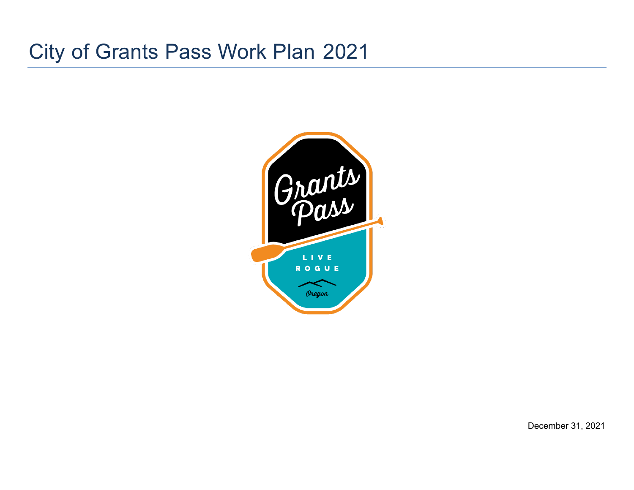# City of Grants Pass Work Plan 2021



December 31, 2021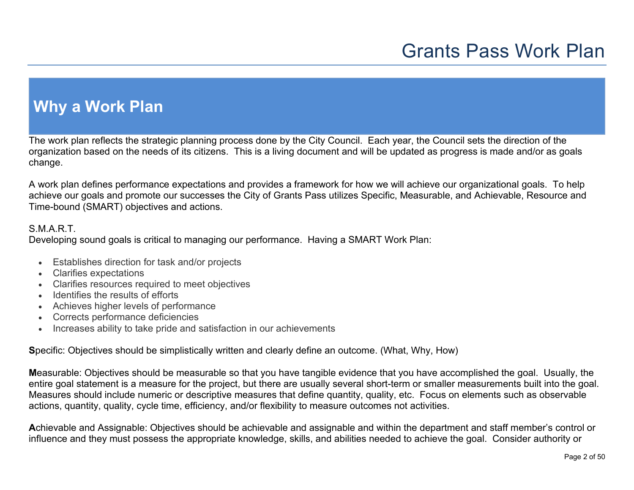## **Why a Work Plan**

The work plan reflects the strategic planning process done by the City Council. Each year, the Council sets the direction of the organization based on the needs of its citizens. This is a living document and will be updated as progress is made and/or as goals change.

A work plan defines performance expectations and provides a framework for how we will achieve our organizational goals. To help achieve our goals and promote our successes the City of Grants Pass utilizes Specific, Measurable, and Achievable, Resource and Time-bound (SMART) objectives and actions.

### S.M.A.R.T.

Developing sound goals is critical to managing our performance. Having a SMART Work Plan:

- Establishes direction for task and/or projects
- Clarifies expectations
- Clarifies resources required to meet objectives
- Identifies the results of efforts
- Achieves higher levels of performance
- Corrects performance deficiencies
- Increases ability to take pride and satisfaction in our achievements

**S**pecific: Objectives should be simplistically written and clearly define an outcome. (What, Why, How)

**M**easurable: Objectives should be measurable so that you have tangible evidence that you have accomplished the goal. Usually, the entire goal statement is a measure for the project, but there are usually several short-term or smaller measurements built into the goal. Measures should include numeric or descriptive measures that define quantity, quality, etc. Focus on elements such as observable actions, quantity, quality, cycle time, efficiency, and/or flexibility to measure outcomes not activities.

**A**chievable and Assignable: Objectives should be achievable and assignable and within the department and staff member's control or influence and they must possess the appropriate knowledge, skills, and abilities needed to achieve the goal. Consider authority or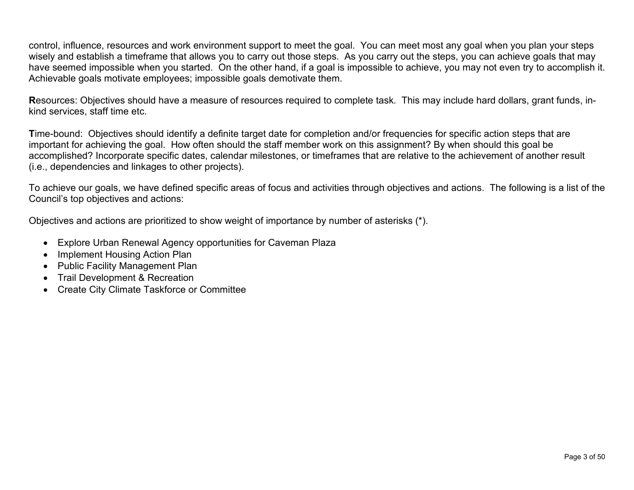control, influence, resources and work environment support to meet the goal. You can meet most any goal when you plan your steps wisely and establish a timeframe that allows you to carry out those steps. As you carry out the steps, you can achieve goals that may have seemed impossible when you started. On the other hand, if a goal is impossible to achieve, you may not even try to accomplish it. Achievable goals motivate employees; impossible goals demotivate them.

**R**esources: Objectives should have a measure of resources required to complete task. This may include hard dollars, grant funds, inkind services, staff time etc.

**T**ime-bound: Objectives should identify a definite target date for completion and/or frequencies for specific action steps that are important for achieving the goal. How often should the staff member work on this assignment? By when should this goal be accomplished? Incorporate specific dates, calendar milestones, or timeframes that are relative to the achievement of another result (i.e., dependencies and linkages to other projects).

To achieve our goals, we have defined specific areas of focus and activities through objectives and actions. The following is a list of the Council's top objectives and actions:

Objectives and actions are prioritized to show weight of importance by number of asterisks (\*).

- Explore Urban Renewal Agency opportunities for Caveman Plaza
- Implement Housing Action Plan
- Public Facility Management Plan
- Trail Development & Recreation
- Create City Climate Taskforce or Committee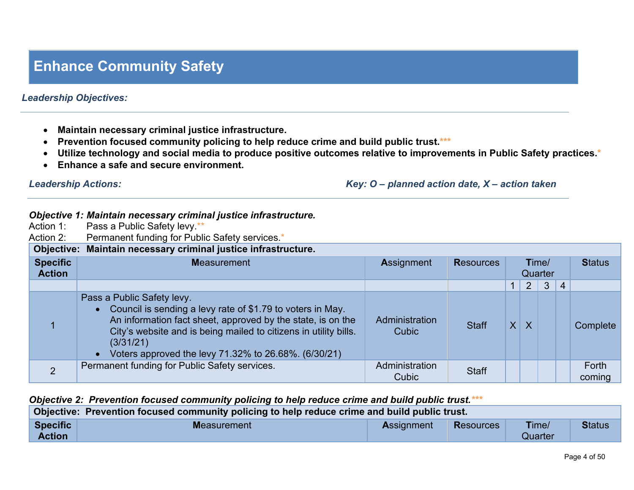## **Enhance Community Safety**

### *Leadership Objectives:*

- **Maintain necessary criminal justice infrastructure.**
- **Prevention focused community policing to help reduce crime and build public trust.\*\*\***
- **Utilize technology and social media to produce positive outcomes relative to improvements in Public Safety practices.\***
- **Enhance a safe and secure environment.**

*Leadership Actions: Key: O – planned action date, X – action taken*

### *Objective 1: Maintain necessary criminal justice infrastructure.*

| Action 1:                        | Pass a Public Safety levy **                                                                                                                                                                                                                                                                       |                         |                  |              |                |                  |                |                 |
|----------------------------------|----------------------------------------------------------------------------------------------------------------------------------------------------------------------------------------------------------------------------------------------------------------------------------------------------|-------------------------|------------------|--------------|----------------|------------------|----------------|-----------------|
| Action 2:                        | Permanent funding for Public Safety services.*                                                                                                                                                                                                                                                     |                         |                  |              |                |                  |                |                 |
|                                  | Objective: Maintain necessary criminal justice infrastructure.                                                                                                                                                                                                                                     |                         |                  |              |                |                  |                |                 |
| <b>Specific</b><br><b>Action</b> | <b>Measurement</b>                                                                                                                                                                                                                                                                                 | <b>Assignment</b>       | <b>Resources</b> |              |                | Time/<br>Quarter |                | <b>Status</b>   |
|                                  |                                                                                                                                                                                                                                                                                                    |                         |                  |              | 2 <sup>1</sup> | 3 <sup>1</sup>   | $\overline{4}$ |                 |
|                                  | Pass a Public Safety levy.<br>• Council is sending a levy rate of \$1.79 to voters in May.<br>An information fact sheet, approved by the state, is on the<br>City's website and is being mailed to citizens in utility bills.<br>(3/31/21)<br>Voters approved the levy 71.32% to 26.68%. (6/30/21) | Administration<br>Cubic | <b>Staff</b>     | $\mathsf{X}$ | $\overline{X}$ |                  |                | Complete        |
| $\overline{2}$                   | Permanent funding for Public Safety services.                                                                                                                                                                                                                                                      | Administration<br>Cubic | <b>Staff</b>     |              |                |                  |                | Forth<br>coming |

### *Objective 2: Prevention focused community policing to help reduce crime and build public trust.\*\*\**

| Objective: Prevention focused community policing to help reduce crime and build public trust. |             |                   |           |                  |               |  |  |  |  |  |
|-----------------------------------------------------------------------------------------------|-------------|-------------------|-----------|------------------|---------------|--|--|--|--|--|
| <b>Specific</b><br><b>Action</b>                                                              | Measurement | <b>Assignment</b> | Resources | Time/<br>Quarter | <b>Status</b> |  |  |  |  |  |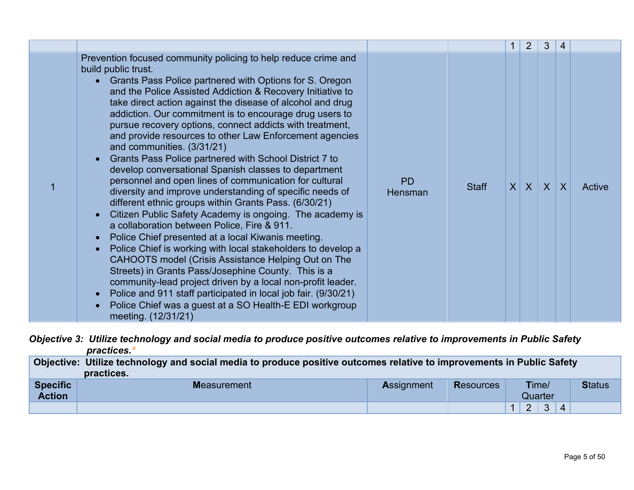|                                                                                                                                                                                                                                                                                                                                                                                                                                                                                                                                                                                                                                                                                                                                                                                                                                                                                                                                                                                                                                                                                                                                                                                                                                                                                                                                                                 |                      |              | $\mathbf{1}$ | $\overline{2}$ | $\mathbf{3}$ | 4            |        |
|-----------------------------------------------------------------------------------------------------------------------------------------------------------------------------------------------------------------------------------------------------------------------------------------------------------------------------------------------------------------------------------------------------------------------------------------------------------------------------------------------------------------------------------------------------------------------------------------------------------------------------------------------------------------------------------------------------------------------------------------------------------------------------------------------------------------------------------------------------------------------------------------------------------------------------------------------------------------------------------------------------------------------------------------------------------------------------------------------------------------------------------------------------------------------------------------------------------------------------------------------------------------------------------------------------------------------------------------------------------------|----------------------|--------------|--------------|----------------|--------------|--------------|--------|
| Prevention focused community policing to help reduce crime and<br>build public trust.<br>Grants Pass Police partnered with Options for S. Oregon<br>and the Police Assisted Addiction & Recovery Initiative to<br>take direct action against the disease of alcohol and drug<br>addiction. Our commitment is to encourage drug users to<br>pursue recovery options, connect addicts with treatment,<br>and provide resources to other Law Enforcement agencies<br>and communities. (3/31/21)<br>Grants Pass Police partnered with School District 7 to<br>develop conversational Spanish classes to department<br>personnel and open lines of communication for cultural<br>diversity and improve understanding of specific needs of<br>different ethnic groups within Grants Pass. (6/30/21)<br>Citizen Public Safety Academy is ongoing. The academy is<br>a collaboration between Police, Fire & 911.<br>Police Chief presented at a local Kiwanis meeting.<br>Police Chief is working with local stakeholders to develop a<br>CAHOOTS model (Crisis Assistance Helping Out on The<br>Streets) in Grants Pass/Josephine County. This is a<br>community-lead project driven by a local non-profit leader.<br>Police and 911 staff participated in local job fair. (9/30/21)<br>Police Chief was a guest at a SO Health-E EDI workgroup<br>meeting. (12/31/21) | <b>PD</b><br>Hensman | <b>Staff</b> |              | $X$ $X$        | $\mathsf{X}$ | $\mathsf{X}$ | Active |

*Objective 3: Utilize technology and social media to produce positive outcomes relative to improvements in Public Safety practices.\**

|                 | Objective: Utilize technology and social media to produce positive outcomes relative to improvements in Public Safety |                   |                  |       |               |  |  |  |  |  |  |
|-----------------|-----------------------------------------------------------------------------------------------------------------------|-------------------|------------------|-------|---------------|--|--|--|--|--|--|
|                 | practices.                                                                                                            |                   |                  |       |               |  |  |  |  |  |  |
| <b>Specific</b> | <b>Measurement</b>                                                                                                    | <b>Assignment</b> | <b>Resources</b> | Time/ | <b>Status</b> |  |  |  |  |  |  |

| <b>Specific</b><br><b>Action</b> | <b>Measurement</b> | Assignment | <b>Resources</b> | Time/<br>Quarter |        |                   |          | <b>Status</b> |
|----------------------------------|--------------------|------------|------------------|------------------|--------|-------------------|----------|---------------|
|                                  |                    |            |                  | -                | ⌒<br>- | $\sim$<br>$\cdot$ | $\Delta$ |               |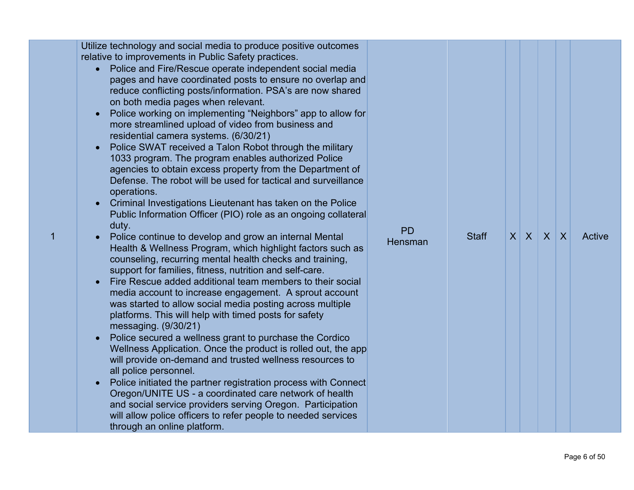| Utilize technology and social media to produce positive outcomes<br>relative to improvements in Public Safety practices.<br>Police and Fire/Rescue operate independent social media<br>pages and have coordinated posts to ensure no overlap and<br>reduce conflicting posts/information. PSA's are now shared<br>on both media pages when relevant.<br>Police working on implementing "Neighbors" app to allow for<br>more streamlined upload of video from business and<br>residential camera systems. (6/30/21)<br>Police SWAT received a Talon Robot through the military<br>1033 program. The program enables authorized Police<br>agencies to obtain excess property from the Department of<br>Defense. The robot will be used for tactical and surveillance<br>operations.<br>Criminal Investigations Lieutenant has taken on the Police<br>Public Information Officer (PIO) role as an ongoing collateral<br>duty.<br><b>PD</b><br>$X$ $X$<br>$X$ $X$<br><b>Staff</b><br>Active<br>Police continue to develop and grow an internal Mental<br><b>Hensman</b><br>Health & Wellness Program, which highlight factors such as<br>counseling, recurring mental health checks and training,<br>support for families, fitness, nutrition and self-care.<br>Fire Rescue added additional team members to their social |  |
|-----------------------------------------------------------------------------------------------------------------------------------------------------------------------------------------------------------------------------------------------------------------------------------------------------------------------------------------------------------------------------------------------------------------------------------------------------------------------------------------------------------------------------------------------------------------------------------------------------------------------------------------------------------------------------------------------------------------------------------------------------------------------------------------------------------------------------------------------------------------------------------------------------------------------------------------------------------------------------------------------------------------------------------------------------------------------------------------------------------------------------------------------------------------------------------------------------------------------------------------------------------------------------------------------------------------------|--|
| media account to increase engagement. A sprout account<br>was started to allow social media posting across multiple<br>platforms. This will help with timed posts for safety<br>messaging. $(9/30/21)$<br>Police secured a wellness grant to purchase the Cordico<br>Wellness Application. Once the product is rolled out, the app<br>will provide on-demand and trusted wellness resources to<br>all police personnel.<br>Police initiated the partner registration process with Connect<br>Oregon/UNITE US - a coordinated care network of health                                                                                                                                                                                                                                                                                                                                                                                                                                                                                                                                                                                                                                                                                                                                                                   |  |
| and social service providers serving Oregon. Participation<br>will allow police officers to refer people to needed services<br>through an online platform.                                                                                                                                                                                                                                                                                                                                                                                                                                                                                                                                                                                                                                                                                                                                                                                                                                                                                                                                                                                                                                                                                                                                                            |  |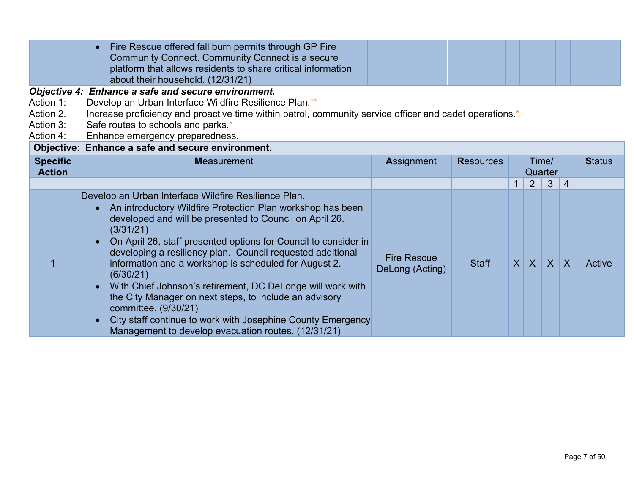|                                                  | Fire Rescue offered fall burn permits through GP Fire<br>$\bullet$<br>Community Connect. Community Connect is a secure<br>platform that allows residents to share critical information<br>about their household. (12/31/21)                                                                                                                                                                                                                                                                                                                                                                                                                                                                                    |                                       |                  |                                   |                   |                   |                   |               |
|--------------------------------------------------|----------------------------------------------------------------------------------------------------------------------------------------------------------------------------------------------------------------------------------------------------------------------------------------------------------------------------------------------------------------------------------------------------------------------------------------------------------------------------------------------------------------------------------------------------------------------------------------------------------------------------------------------------------------------------------------------------------------|---------------------------------------|------------------|-----------------------------------|-------------------|-------------------|-------------------|---------------|
| Action 1:<br>Action 2.<br>Action 3:<br>Action 4: | Objective 4: Enhance a safe and secure environment.<br>Develop an Urban Interface Wildfire Resilience Plan.**<br>Increase proficiency and proactive time within patrol, community service officer and cadet operations.*<br>Safe routes to schools and parks.*<br>Enhance emergency preparedness.                                                                                                                                                                                                                                                                                                                                                                                                              |                                       |                  |                                   |                   |                   |                   |               |
| <b>Specific</b><br><b>Action</b>                 | Objective: Enhance a safe and secure environment.<br><b>Measurement</b>                                                                                                                                                                                                                                                                                                                                                                                                                                                                                                                                                                                                                                        | <b>Assignment</b>                     | <b>Resources</b> |                                   |                   | Time/<br>Quarter  |                   | <b>Status</b> |
|                                                  | Develop an Urban Interface Wildfire Resilience Plan.<br>An introductory Wildfire Protection Plan workshop has been<br>developed and will be presented to Council on April 26.<br>(3/31/21)<br>On April 26, staff presented options for Council to consider in<br>$\bullet$<br>developing a resiliency plan. Council requested additional<br>information and a workshop is scheduled for August 2.<br>(6/30/21)<br>With Chief Johnson's retirement, DC DeLonge will work with<br>$\bullet$<br>the City Manager on next steps, to include an advisory<br>committee. (9/30/21)<br>City staff continue to work with Josephine County Emergency<br>$\bullet$<br>Management to develop evacuation routes. (12/31/21) | <b>Fire Rescue</b><br>DeLong (Acting) | <b>Staff</b>     | $\overline{1}$<br>$\vert X \vert$ | 2<br>$\mathsf{X}$ | 3<br>$\mathsf{X}$ | 4<br>$\mathsf{X}$ | Active        |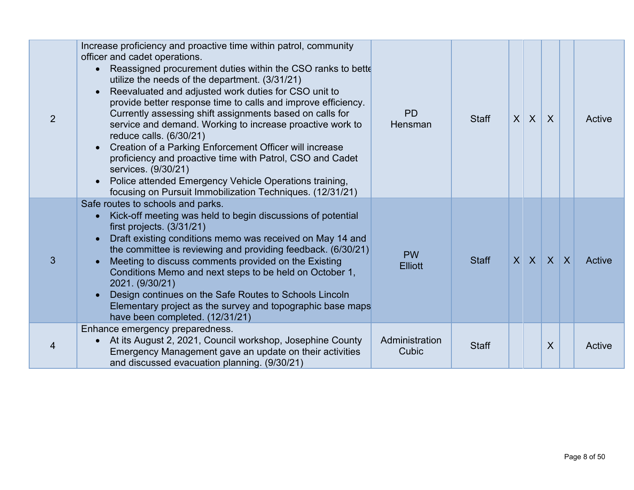| 2 | Increase proficiency and proactive time within patrol, community<br>officer and cadet operations.<br>Reassigned procurement duties within the CSO ranks to bette<br>utilize the needs of the department. (3/31/21)<br>Reevaluated and adjusted work duties for CSO unit to<br>provide better response time to calls and improve efficiency.<br>Currently assessing shift assignments based on calls for<br>service and demand. Working to increase proactive work to<br>reduce calls. (6/30/21)<br>Creation of a Parking Enforcement Officer will increase<br>proficiency and proactive time with Patrol, CSO and Cadet<br>services. (9/30/21)<br>Police attended Emergency Vehicle Operations training,<br>focusing on Pursuit Immobilization Techniques. (12/31/21) | <b>PD</b><br>Hensman        | <b>Staff</b> | $\mathsf{X}$ | $\mathsf{X}$ | $\overline{X}$ |              | Active |
|---|-----------------------------------------------------------------------------------------------------------------------------------------------------------------------------------------------------------------------------------------------------------------------------------------------------------------------------------------------------------------------------------------------------------------------------------------------------------------------------------------------------------------------------------------------------------------------------------------------------------------------------------------------------------------------------------------------------------------------------------------------------------------------|-----------------------------|--------------|--------------|--------------|----------------|--------------|--------|
| 3 | Safe routes to schools and parks.<br>Kick-off meeting was held to begin discussions of potential<br>first projects. (3/31/21)<br>Draft existing conditions memo was received on May 14 and<br>the committee is reviewing and providing feedback. (6/30/21)<br>Meeting to discuss comments provided on the Existing<br>Conditions Memo and next steps to be held on October 1,<br>2021. (9/30/21)<br>Design continues on the Safe Routes to Schools Lincoln<br>Elementary project as the survey and topographic base maps<br>have been completed. (12/31/21)                                                                                                                                                                                                           | <b>PW</b><br><b>Elliott</b> | <b>Staff</b> |              | $X$ $X$      | X              | $\mathsf{X}$ | Active |
| 4 | Enhance emergency preparedness.<br>At its August 2, 2021, Council workshop, Josephine County<br>Emergency Management gave an update on their activities<br>and discussed evacuation planning. (9/30/21)                                                                                                                                                                                                                                                                                                                                                                                                                                                                                                                                                               | Administration<br>Cubic     | <b>Staff</b> |              |              | X              |              | Active |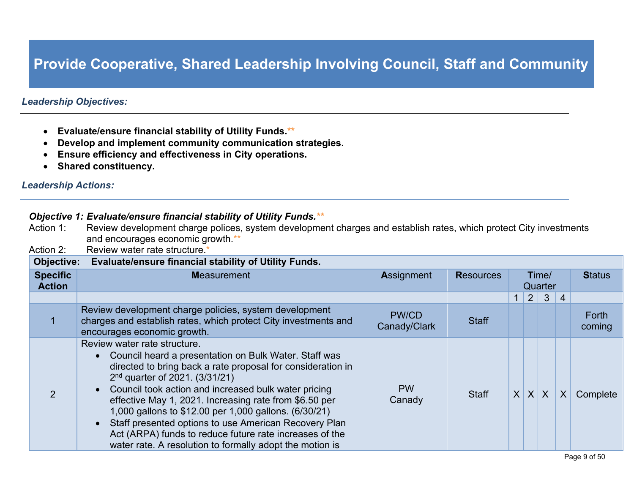### **Provide Cooperative, Shared Leadership Involving Council, Staff and Community**

### *Leadership Objectives:*

- **Evaluate/ensure financial stability of Utility Funds.\*\***
- **Develop and implement community communication strategies.**
- **Ensure efficiency and effectiveness in City operations.**
- **Shared constituency.**

#### *Leadership Actions:*

## *Objective 1: Evaluate/ensure financial stability of Utility Funds.\*\*<br>Action 1: Review development charge polices, system developme*

- Review development charge polices, system development charges and establish rates, which protect City investments and encourages economic growth.\*\*
- Action 2: Review water rate structure.

| Objective: Evaluate/ensure financial stability of Utility Funds. |                                                                                                                                                                                                                                                                                                                                                                                                                                                                                                                                                         |                              |                  |                  |                |                |                |                 |  |  |
|------------------------------------------------------------------|---------------------------------------------------------------------------------------------------------------------------------------------------------------------------------------------------------------------------------------------------------------------------------------------------------------------------------------------------------------------------------------------------------------------------------------------------------------------------------------------------------------------------------------------------------|------------------------------|------------------|------------------|----------------|----------------|----------------|-----------------|--|--|
| <b>Specific</b><br><b>Action</b>                                 | <b>Measurement</b>                                                                                                                                                                                                                                                                                                                                                                                                                                                                                                                                      | <b>Assignment</b>            | <b>Resources</b> | Time/<br>Quarter |                |                |                | <b>Status</b>   |  |  |
|                                                                  |                                                                                                                                                                                                                                                                                                                                                                                                                                                                                                                                                         |                              |                  |                  | 2 <sup>1</sup> | 3 <sup>1</sup> | $\overline{4}$ |                 |  |  |
|                                                                  | Review development charge policies, system development<br>charges and establish rates, which protect City investments and<br>encourages economic growth.                                                                                                                                                                                                                                                                                                                                                                                                | <b>PW/CD</b><br>Canady/Clark | <b>Staff</b>     |                  |                |                |                | Forth<br>coming |  |  |
| ာ                                                                | Review water rate structure.<br>• Council heard a presentation on Bulk Water. Staff was<br>directed to bring back a rate proposal for consideration in<br>$2nd$ quarter of 2021. (3/31/21)<br>• Council took action and increased bulk water pricing<br>effective May 1, 2021. Increasing rate from \$6.50 per<br>1,000 gallons to \$12.00 per 1,000 gallons. (6/30/21)<br>Staff presented options to use American Recovery Plan<br>Act (ARPA) funds to reduce future rate increases of the<br>water rate. A resolution to formally adopt the motion is | <b>PW</b><br>Canady          | <b>Staff</b>     |                  | X X            | $\mathsf{X}$   | $\sf X$        | Complete        |  |  |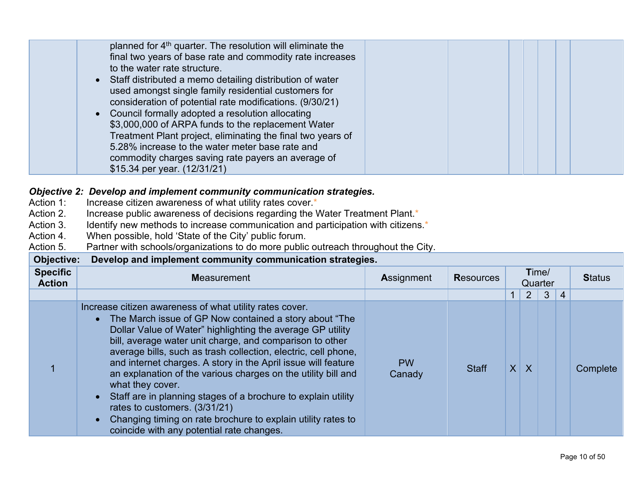| planned for 4 <sup>th</sup> quarter. The resolution will eliminate the<br>final two years of base rate and commodity rate increases<br>to the water rate structure.<br>• Staff distributed a memo detailing distribution of water<br>used amongst single family residential customers for<br>consideration of potential rate modifications. (9/30/21)<br>• Council formally adopted a resolution allocating<br>\$3,000,000 of ARPA funds to the replacement Water |  |  |
|-------------------------------------------------------------------------------------------------------------------------------------------------------------------------------------------------------------------------------------------------------------------------------------------------------------------------------------------------------------------------------------------------------------------------------------------------------------------|--|--|
| Treatment Plant project, eliminating the final two years of<br>5.28% increase to the water meter base rate and<br>commodity charges saving rate payers an average of<br>\$15.34 per year. (12/31/21)                                                                                                                                                                                                                                                              |  |  |

## *Objective 2: Develop and implement community communication strategies.***<br>Action 1: Increase citizen awareness of what utility rates cover.\***

- Action 1: Increase citizen awareness of what utility rates cover.<sup>\*</sup><br>Action 2. Increase public awareness of decisions regarding the \
- Action 2. Increase public awareness of decisions regarding the Water Treatment Plant.<sup>\*</sup><br>Action 3. Identify new methods to increase communication and participation with citizens
- Identify new methods to increase communication and participation with citizens.\*
- Action 4. When possible, hold 'State of the City' public forum.<br>Action 5. Partner with schools/organizations to do more public

### Partner with schools/organizations to do more public outreach throughout the City.

| <b>Objective:</b>                | Develop and implement community communication strategies.                                                                                                                                                                                                                                                                                                                                                                                                                                                                                                                                                                                                                              |                     |                  |              |                  |   |                |               |
|----------------------------------|----------------------------------------------------------------------------------------------------------------------------------------------------------------------------------------------------------------------------------------------------------------------------------------------------------------------------------------------------------------------------------------------------------------------------------------------------------------------------------------------------------------------------------------------------------------------------------------------------------------------------------------------------------------------------------------|---------------------|------------------|--------------|------------------|---|----------------|---------------|
| <b>Specific</b><br><b>Action</b> | <b>Measurement</b>                                                                                                                                                                                                                                                                                                                                                                                                                                                                                                                                                                                                                                                                     | <b>Assignment</b>   | <b>Resources</b> |              | Time/<br>Quarter |   |                | <b>Status</b> |
|                                  |                                                                                                                                                                                                                                                                                                                                                                                                                                                                                                                                                                                                                                                                                        |                     |                  |              | $2^{\circ}$      | 3 | $\overline{4}$ |               |
|                                  | Increase citizen awareness of what utility rates cover.<br>• The March issue of GP Now contained a story about "The<br>Dollar Value of Water" highlighting the average GP utility<br>bill, average water unit charge, and comparison to other<br>average bills, such as trash collection, electric, cell phone,<br>and internet charges. A story in the April issue will feature<br>an explanation of the various charges on the utility bill and<br>what they cover.<br>• Staff are in planning stages of a brochure to explain utility<br>rates to customers. (3/31/21)<br>Changing timing on rate brochure to explain utility rates to<br>coincide with any potential rate changes. | <b>PW</b><br>Canady | <b>Staff</b>     | $\mathsf{X}$ | $\mathsf{X}$     |   |                | Complete      |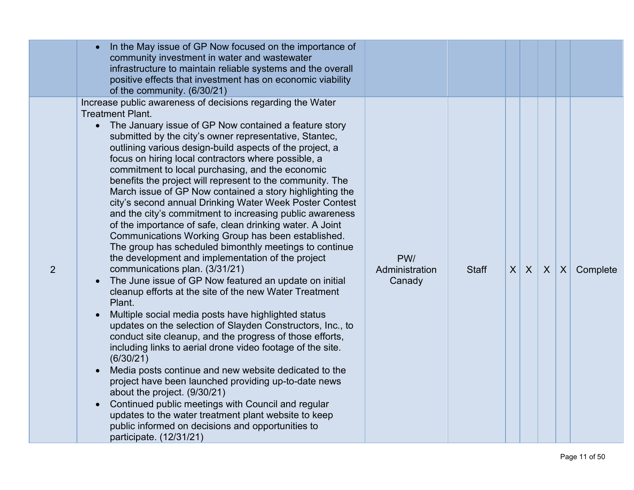|                | In the May issue of GP Now focused on the importance of<br>community investment in water and wastewater<br>infrastructure to maintain reliable systems and the overall<br>positive effects that investment has on economic viability<br>of the community. (6/30/21)                                                                                                                                                                                                                                                                                                                                                                                                                                                                                                                                                                                                                                                                                                                                                                                                                                                                                                                                                                                                                                                                                                                                                                                                                                                                                                                                                                           |                                 |              |          |   |            |          |
|----------------|-----------------------------------------------------------------------------------------------------------------------------------------------------------------------------------------------------------------------------------------------------------------------------------------------------------------------------------------------------------------------------------------------------------------------------------------------------------------------------------------------------------------------------------------------------------------------------------------------------------------------------------------------------------------------------------------------------------------------------------------------------------------------------------------------------------------------------------------------------------------------------------------------------------------------------------------------------------------------------------------------------------------------------------------------------------------------------------------------------------------------------------------------------------------------------------------------------------------------------------------------------------------------------------------------------------------------------------------------------------------------------------------------------------------------------------------------------------------------------------------------------------------------------------------------------------------------------------------------------------------------------------------------|---------------------------------|--------------|----------|---|------------|----------|
| $\overline{2}$ | Increase public awareness of decisions regarding the Water<br><b>Treatment Plant.</b><br>• The January issue of GP Now contained a feature story<br>submitted by the city's owner representative, Stantec,<br>outlining various design-build aspects of the project, a<br>focus on hiring local contractors where possible, a<br>commitment to local purchasing, and the economic<br>benefits the project will represent to the community. The<br>March issue of GP Now contained a story highlighting the<br>city's second annual Drinking Water Week Poster Contest<br>and the city's commitment to increasing public awareness<br>of the importance of safe, clean drinking water. A Joint<br>Communications Working Group has been established.<br>The group has scheduled bimonthly meetings to continue<br>the development and implementation of the project<br>communications plan. (3/31/21)<br>The June issue of GP Now featured an update on initial<br>cleanup efforts at the site of the new Water Treatment<br>Plant.<br>Multiple social media posts have highlighted status<br>updates on the selection of Slayden Constructors, Inc., to<br>conduct site cleanup, and the progress of those efforts,<br>including links to aerial drone video footage of the site.<br>(6/30/21)<br>Media posts continue and new website dedicated to the<br>project have been launched providing up-to-date news<br>about the project. (9/30/21)<br>Continued public meetings with Council and regular<br>updates to the water treatment plant website to keep<br>public informed on decisions and opportunities to<br>participate. (12/31/21) | PW/<br>Administration<br>Canady | <b>Staff</b> | $X \mid$ | X | $X \mid X$ | Complete |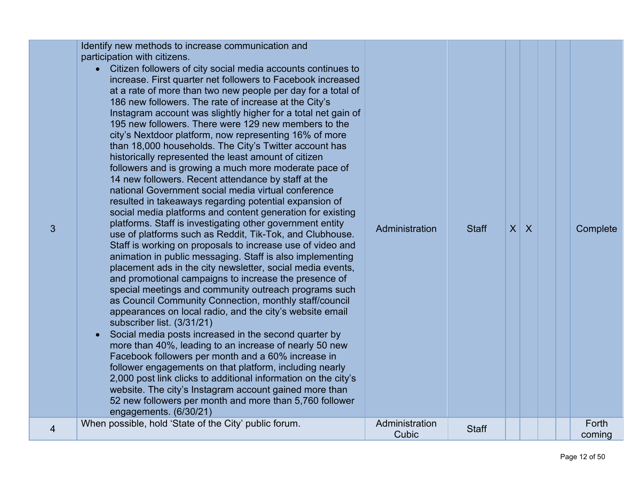| 3 | Identify new methods to increase communication and<br>participation with citizens.<br>Citizen followers of city social media accounts continues to<br>$\bullet$<br>increase. First quarter net followers to Facebook increased<br>at a rate of more than two new people per day for a total of<br>186 new followers. The rate of increase at the City's<br>Instagram account was slightly higher for a total net gain of<br>195 new followers. There were 129 new members to the<br>city's Nextdoor platform, now representing 16% of more<br>than 18,000 households. The City's Twitter account has<br>historically represented the least amount of citizen<br>followers and is growing a much more moderate pace of<br>14 new followers. Recent attendance by staff at the<br>national Government social media virtual conference<br>resulted in takeaways regarding potential expansion of<br>social media platforms and content generation for existing<br>platforms. Staff is investigating other government entity<br>use of platforms such as Reddit, Tik-Tok, and Clubhouse.<br>Staff is working on proposals to increase use of video and<br>animation in public messaging. Staff is also implementing<br>placement ads in the city newsletter, social media events,<br>and promotional campaigns to increase the presence of<br>special meetings and community outreach programs such<br>as Council Community Connection, monthly staff/council<br>appearances on local radio, and the city's website email<br>subscriber list. (3/31/21)<br>Social media posts increased in the second quarter by<br>more than 40%, leading to an increase of nearly 50 new<br>Facebook followers per month and a 60% increase in<br>follower engagements on that platform, including nearly<br>2,000 post link clicks to additional information on the city's<br>website. The city's Instagram account gained more than<br>52 new followers per month and more than 5,760 follower<br>engagements. (6/30/21) | Administration          | <b>Staff</b> | $X$ $X$ |  | Complete        |
|---|----------------------------------------------------------------------------------------------------------------------------------------------------------------------------------------------------------------------------------------------------------------------------------------------------------------------------------------------------------------------------------------------------------------------------------------------------------------------------------------------------------------------------------------------------------------------------------------------------------------------------------------------------------------------------------------------------------------------------------------------------------------------------------------------------------------------------------------------------------------------------------------------------------------------------------------------------------------------------------------------------------------------------------------------------------------------------------------------------------------------------------------------------------------------------------------------------------------------------------------------------------------------------------------------------------------------------------------------------------------------------------------------------------------------------------------------------------------------------------------------------------------------------------------------------------------------------------------------------------------------------------------------------------------------------------------------------------------------------------------------------------------------------------------------------------------------------------------------------------------------------------------------------------------------------------------------------------------------------------------------------------|-------------------------|--------------|---------|--|-----------------|
| 4 | When possible, hold 'State of the City' public forum.                                                                                                                                                                                                                                                                                                                                                                                                                                                                                                                                                                                                                                                                                                                                                                                                                                                                                                                                                                                                                                                                                                                                                                                                                                                                                                                                                                                                                                                                                                                                                                                                                                                                                                                                                                                                                                                                                                                                                    | Administration<br>Cubic | <b>Staff</b> |         |  | Forth<br>coming |
|   |                                                                                                                                                                                                                                                                                                                                                                                                                                                                                                                                                                                                                                                                                                                                                                                                                                                                                                                                                                                                                                                                                                                                                                                                                                                                                                                                                                                                                                                                                                                                                                                                                                                                                                                                                                                                                                                                                                                                                                                                          |                         |              |         |  |                 |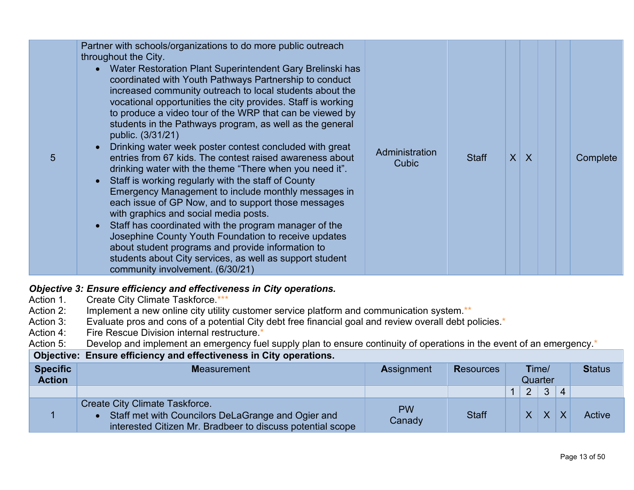| 5 | Partner with schools/organizations to do more public outreach<br>throughout the City.<br>• Water Restoration Plant Superintendent Gary Brelinski has<br>coordinated with Youth Pathways Partnership to conduct<br>increased community outreach to local students about the<br>vocational opportunities the city provides. Staff is working<br>to produce a video tour of the WRP that can be viewed by<br>students in the Pathways program, as well as the general<br>public. (3/31/21)<br>Drinking water week poster contest concluded with great<br>entries from 67 kids. The contest raised awareness about<br>drinking water with the theme "There when you need it".<br>• Staff is working regularly with the staff of County<br>Emergency Management to include monthly messages in<br>each issue of GP Now, and to support those messages<br>with graphics and social media posts.<br>• Staff has coordinated with the program manager of the<br>Josephine County Youth Foundation to receive updates<br>about student programs and provide information to<br>students about City services, as well as support student<br>community involvement. (6/30/21) | Administration<br>Cubic | <b>Staff</b> |  | $X$ $X$ |  | Complete |
|---|-------------------------------------------------------------------------------------------------------------------------------------------------------------------------------------------------------------------------------------------------------------------------------------------------------------------------------------------------------------------------------------------------------------------------------------------------------------------------------------------------------------------------------------------------------------------------------------------------------------------------------------------------------------------------------------------------------------------------------------------------------------------------------------------------------------------------------------------------------------------------------------------------------------------------------------------------------------------------------------------------------------------------------------------------------------------------------------------------------------------------------------------------------------------|-------------------------|--------------|--|---------|--|----------|
|---|-------------------------------------------------------------------------------------------------------------------------------------------------------------------------------------------------------------------------------------------------------------------------------------------------------------------------------------------------------------------------------------------------------------------------------------------------------------------------------------------------------------------------------------------------------------------------------------------------------------------------------------------------------------------------------------------------------------------------------------------------------------------------------------------------------------------------------------------------------------------------------------------------------------------------------------------------------------------------------------------------------------------------------------------------------------------------------------------------------------------------------------------------------------------|-------------------------|--------------|--|---------|--|----------|

## **Objective 3: Ensure efficiency and effectiveness in City operations.**<br>Action 1. Create City Climate Taskforce.\*\*\*

- Action 1. Create City Climate Taskforce.\*\*\*<br>Action 2: Implement a new online city utility
- Implement a new online city utility customer service platform and communication system.\*\*
- Action 3: Evaluate pros and cons of a potential City debt free financial goal and review overall debt policies.<sup>\*</sup><br>Action 4: Fire Rescue Division internal restructure.\*
- Fire Rescue Division internal restructure.\*

Action 5: Develop and implement an emergency fuel supply plan to ensure continuity of operations in the event of an emergency.<sup>\*</sup>

### **Objective: Ensure efficiency and effectiveness in City operations.**

| <b>Specific</b><br><b>Action</b> | <b>Measurement</b>                                                                                                                                        | <b>Assignment</b>   | <b>Resources</b> | Time/<br>Quarter |                |              |                | <b>Status</b> |
|----------------------------------|-----------------------------------------------------------------------------------------------------------------------------------------------------------|---------------------|------------------|------------------|----------------|--------------|----------------|---------------|
|                                  |                                                                                                                                                           |                     |                  |                  | 2 <sup>1</sup> | $\mathbf{3}$ | $\overline{4}$ |               |
|                                  | <b>Create City Climate Taskforce.</b><br>Staff met with Councilors DeLaGrange and Ogier and<br>interested Citizen Mr. Bradbeer to discuss potential scope | <b>PW</b><br>Canady | <b>Staff</b>     |                  |                | $X$ $X$      | $\mathsf{X}$   | Active        |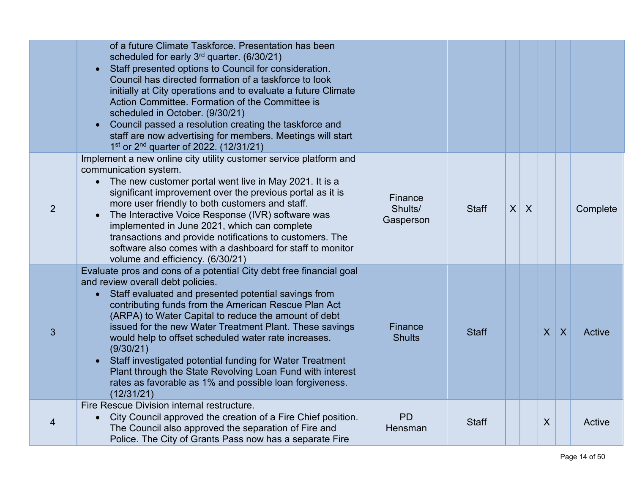|   | of a future Climate Taskforce. Presentation has been<br>scheduled for early 3 <sup>rd</sup> quarter. (6/30/21)<br>Staff presented options to Council for consideration.<br>$\bullet$<br>Council has directed formation of a taskforce to look<br>initially at City operations and to evaluate a future Climate<br>Action Committee. Formation of the Committee is<br>scheduled in October. (9/30/21)<br>Council passed a resolution creating the taskforce and<br>staff are now advertising for members. Meetings will start<br>1 <sup>st</sup> or 2 <sup>nd</sup> quarter of 2022. (12/31/21)                                               |                                 |              |                 |                  |              |                |          |
|---|----------------------------------------------------------------------------------------------------------------------------------------------------------------------------------------------------------------------------------------------------------------------------------------------------------------------------------------------------------------------------------------------------------------------------------------------------------------------------------------------------------------------------------------------------------------------------------------------------------------------------------------------|---------------------------------|--------------|-----------------|------------------|--------------|----------------|----------|
| 2 | Implement a new online city utility customer service platform and<br>communication system.<br>The new customer portal went live in May 2021. It is a<br>$\bullet$<br>significant improvement over the previous portal as it is<br>more user friendly to both customers and staff.<br>The Interactive Voice Response (IVR) software was<br>$\bullet$<br>implemented in June 2021, which can complete<br>transactions and provide notifications to customers. The<br>software also comes with a dashboard for staff to monitor<br>volume and efficiency. (6/30/21)                                                                             | Finance<br>Shults/<br>Gasperson | <b>Staff</b> | $\vert X \vert$ | $\boldsymbol{X}$ |              |                | Complete |
| 3 | Evaluate pros and cons of a potential City debt free financial goal<br>and review overall debt policies.<br>Staff evaluated and presented potential savings from<br>$\bullet$<br>contributing funds from the American Rescue Plan Act<br>(ARPA) to Water Capital to reduce the amount of debt<br>issued for the new Water Treatment Plant. These savings<br>would help to offset scheduled water rate increases.<br>(9/30/21)<br>Staff investigated potential funding for Water Treatment<br>$\bullet$<br>Plant through the State Revolving Loan Fund with interest<br>rates as favorable as 1% and possible loan forgiveness.<br>(12/31/21) | Finance<br><b>Shults</b>        | <b>Staff</b> |                 |                  | $\mathsf{X}$ | $\overline{X}$ | Active   |
| 4 | Fire Rescue Division internal restructure.<br>City Council approved the creation of a Fire Chief position.<br>$\bullet$<br>The Council also approved the separation of Fire and<br>Police. The City of Grants Pass now has a separate Fire                                                                                                                                                                                                                                                                                                                                                                                                   | <b>PD</b><br>Hensman            | <b>Staff</b> |                 |                  | X            |                | Active   |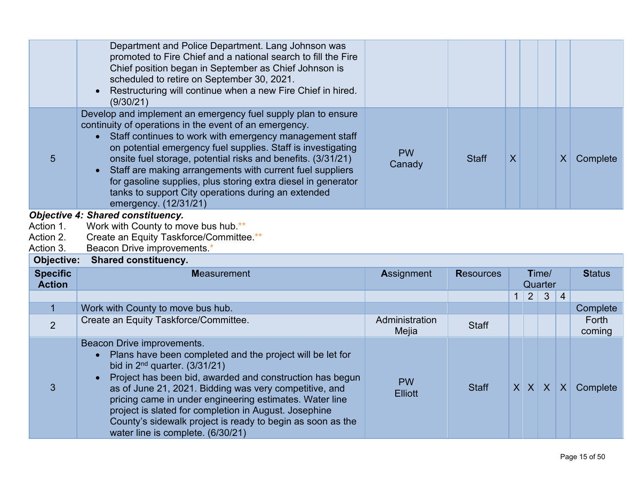|                                     | Department and Police Department. Lang Johnson was<br>promoted to Fire Chief and a national search to fill the Fire<br>Chief position began in September as Chief Johnson is<br>scheduled to retire on September 30, 2021.<br>Restructuring will continue when a new Fire Chief in hired.<br>(9/30/21)                                                                                                                                                                                                                                        |                         |                  |                |                |                  |                  |                 |
|-------------------------------------|-----------------------------------------------------------------------------------------------------------------------------------------------------------------------------------------------------------------------------------------------------------------------------------------------------------------------------------------------------------------------------------------------------------------------------------------------------------------------------------------------------------------------------------------------|-------------------------|------------------|----------------|----------------|------------------|------------------|-----------------|
| 5                                   | Develop and implement an emergency fuel supply plan to ensure<br>continuity of operations in the event of an emergency.<br>Staff continues to work with emergency management staff<br>$\bullet$<br>on potential emergency fuel supplies. Staff is investigating<br>onsite fuel storage, potential risks and benefits. (3/31/21)<br>Staff are making arrangements with current fuel suppliers<br>for gasoline supplies, plus storing extra diesel in generator<br>tanks to support City operations during an extended<br>emergency. (12/31/21) | <b>PW</b><br>Canady     | <b>Staff</b>     | $\overline{X}$ |                |                  | $\boldsymbol{X}$ | Complete        |
| Action 1.<br>Action 2.<br>Action 3. | <b>Objective 4: Shared constituency.</b><br>Work with County to move bus hub.**<br>Create an Equity Taskforce/Committee.**                                                                                                                                                                                                                                                                                                                                                                                                                    |                         |                  |                |                |                  |                  |                 |
|                                     | Beacon Drive improvements. <sup>*</sup>                                                                                                                                                                                                                                                                                                                                                                                                                                                                                                       |                         |                  |                |                |                  |                  |                 |
| Objective:                          | <b>Shared constituency.</b>                                                                                                                                                                                                                                                                                                                                                                                                                                                                                                                   |                         |                  |                |                |                  |                  |                 |
| <b>Specific</b><br><b>Action</b>    | <b>Measurement</b>                                                                                                                                                                                                                                                                                                                                                                                                                                                                                                                            | Assignment              | <b>Resources</b> |                |                | Time/<br>Quarter |                  | <b>Status</b>   |
|                                     |                                                                                                                                                                                                                                                                                                                                                                                                                                                                                                                                               |                         |                  | $\mathbf{1}$   | $\overline{2}$ | $\mathbf{3}$     | $\overline{4}$   |                 |
| $\overline{1}$                      | Work with County to move bus hub.                                                                                                                                                                                                                                                                                                                                                                                                                                                                                                             |                         |                  |                |                |                  |                  | Complete        |
| $\overline{2}$                      | Create an Equity Taskforce/Committee.                                                                                                                                                                                                                                                                                                                                                                                                                                                                                                         | Administration<br>Mejia | <b>Staff</b>     |                |                |                  |                  | Forth<br>coming |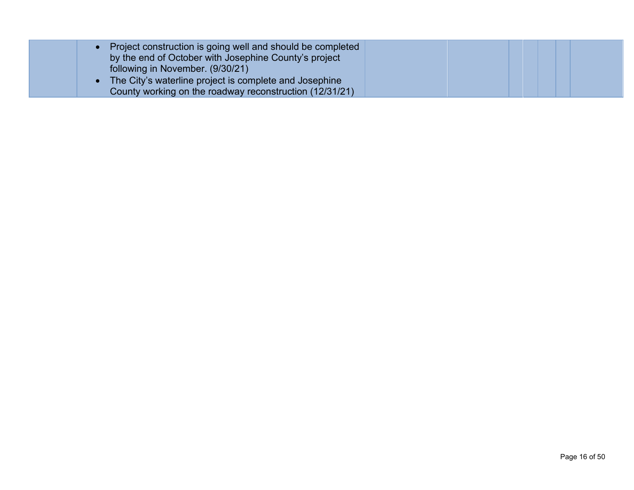| Project construction is going well and should be completed<br>by the end of October with Josephine County's project<br>following in November. (9/30/21) |  |  |
|---------------------------------------------------------------------------------------------------------------------------------------------------------|--|--|
| The City's waterline project is complete and Josephine<br>County working on the roadway reconstruction (12/31/21)                                       |  |  |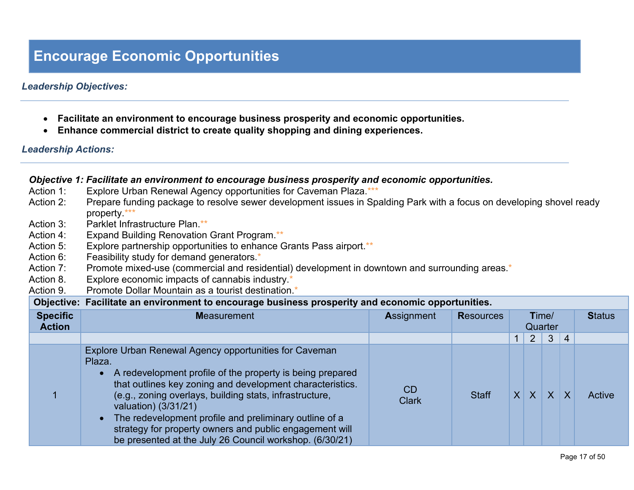### **Encourage Economic Opportunities**

### *Leadership Objectives:*

- **Facilitate an environment to encourage business prosperity and economic opportunities.**
- **Enhance commercial district to create quality shopping and dining experiences.**

### *Leadership Actions:*

### *Objective 1: Facilitate an environment to encourage business prosperity and economic opportunities.*

- Action 1: Explore Urban Renewal Agency opportunities for Caveman Plaza.\*\*\*
- Action 2: Prepare funding package to resolve sewer development issues in Spalding Park with a focus on developing shovel ready property.\*\*\*
- Action 3: Parklet Infrastructure Plan.\*\*
- Action 4: Expand Building Renovation Grant Program.\*\*
- Action 5: Explore partnership opportunities to enhance Grants Pass airport.\*\*
- Action 6: Feasibility study for demand generators.<sup>\*</sup>
- Action 7: Promote mixed-use (commercial and residential) development in downtown and surrounding areas.\*
- Action 8. Explore economic impacts of cannabis industry.<sup>\*</sup>
- Action 9. Promote Dollar Mountain as a tourist destination.<sup>\*</sup>

| Objective: Facilitate an environment to encourage business prosperity and economic opportunities. |  |
|---------------------------------------------------------------------------------------------------|--|
|                                                                                                   |  |

| <b>Specific</b><br><b>Action</b> | <b>Measurement</b>                                                                                                                                                                                                                                                                                                                                                                                                                                            | <b>Assignment</b>  | <b>Resources</b> |   | Quarter                 | Time/        |                | <b>Status</b> |
|----------------------------------|---------------------------------------------------------------------------------------------------------------------------------------------------------------------------------------------------------------------------------------------------------------------------------------------------------------------------------------------------------------------------------------------------------------------------------------------------------------|--------------------|------------------|---|-------------------------|--------------|----------------|---------------|
|                                  |                                                                                                                                                                                                                                                                                                                                                                                                                                                               |                    |                  |   | $\overline{2}$          | $\mathbf{3}$ | $\overline{4}$ |               |
|                                  | Explore Urban Renewal Agency opportunities for Caveman<br>Plaza.<br>A redevelopment profile of the property is being prepared<br>that outlines key zoning and development characteristics.<br>(e.g., zoning overlays, building stats, infrastructure,<br>valuation) (3/31/21)<br>The redevelopment profile and preliminary outline of a<br>strategy for property owners and public engagement will<br>be presented at the July 26 Council workshop. (6/30/21) | CD<br><b>Clark</b> | <b>Staff</b>     | X | $\overline{\mathsf{X}}$ | $\sf X$      |                | Active        |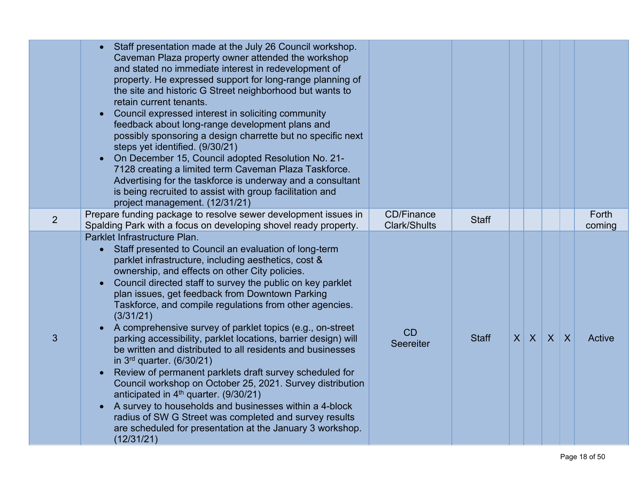|   | Staff presentation made at the July 26 Council workshop.<br>Caveman Plaza property owner attended the workshop<br>and stated no immediate interest in redevelopment of<br>property. He expressed support for long-range planning of<br>the site and historic G Street neighborhood but wants to<br>retain current tenants.<br>Council expressed interest in soliciting community<br>feedback about long-range development plans and<br>possibly sponsoring a design charrette but no specific next<br>steps yet identified. (9/30/21)<br>On December 15, Council adopted Resolution No. 21-<br>7128 creating a limited term Caveman Plaza Taskforce.<br>Advertising for the taskforce is underway and a consultant<br>is being recruited to assist with group facilitation and<br>project management. (12/31/21)                                                                                                                                                                          |                                          |              |         |         |                 |
|---|-------------------------------------------------------------------------------------------------------------------------------------------------------------------------------------------------------------------------------------------------------------------------------------------------------------------------------------------------------------------------------------------------------------------------------------------------------------------------------------------------------------------------------------------------------------------------------------------------------------------------------------------------------------------------------------------------------------------------------------------------------------------------------------------------------------------------------------------------------------------------------------------------------------------------------------------------------------------------------------------|------------------------------------------|--------------|---------|---------|-----------------|
| 2 | Prepare funding package to resolve sewer development issues in<br>Spalding Park with a focus on developing shovel ready property.                                                                                                                                                                                                                                                                                                                                                                                                                                                                                                                                                                                                                                                                                                                                                                                                                                                         | <b>CD/Finance</b><br><b>Clark/Shults</b> | <b>Staff</b> |         |         | Forth<br>coming |
| 3 | Parklet Infrastructure Plan.<br>Staff presented to Council an evaluation of long-term<br>parklet infrastructure, including aesthetics, cost &<br>ownership, and effects on other City policies.<br>Council directed staff to survey the public on key parklet<br>plan issues, get feedback from Downtown Parking<br>Taskforce, and compile regulations from other agencies.<br>(3/31/21)<br>A comprehensive survey of parklet topics (e.g., on-street<br>parking accessibility, parklet locations, barrier design) will<br>be written and distributed to all residents and businesses<br>in $3^{rd}$ quarter. (6/30/21)<br>Review of permanent parklets draft survey scheduled for<br>Council workshop on October 25, 2021. Survey distribution<br>anticipated in $4th$ quarter. (9/30/21)<br>A survey to households and businesses within a 4-block<br>radius of SW G Street was completed and survey results<br>are scheduled for presentation at the January 3 workshop.<br>(12/31/21) | <b>CD</b><br><b>Seereiter</b>            | <b>Staff</b> | $X$ $X$ | $X$ $X$ | Active          |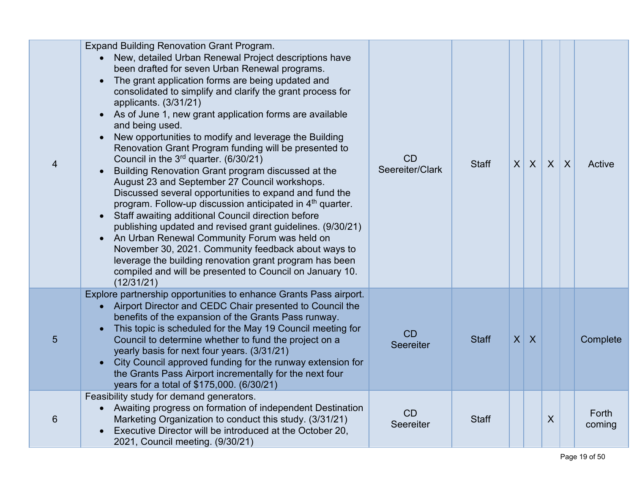| $\overline{4}$ | <b>Expand Building Renovation Grant Program.</b><br>New, detailed Urban Renewal Project descriptions have<br>been drafted for seven Urban Renewal programs.<br>The grant application forms are being updated and<br>consolidated to simplify and clarify the grant process for<br>applicants. (3/31/21)<br>As of June 1, new grant application forms are available<br>and being used.<br>New opportunities to modify and leverage the Building<br>$\bullet$<br>Renovation Grant Program funding will be presented to<br>Council in the $3rd$ quarter. (6/30/21)<br>Building Renovation Grant program discussed at the<br>August 23 and September 27 Council workshops.<br>Discussed several opportunities to expand and fund the<br>program. Follow-up discussion anticipated in 4 <sup>th</sup> quarter.<br>Staff awaiting additional Council direction before<br>$\bullet$<br>publishing updated and revised grant guidelines. (9/30/21)<br>An Urban Renewal Community Forum was held on<br>$\bullet$<br>November 30, 2021. Community feedback about ways to<br>leverage the building renovation grant program has been<br>compiled and will be presented to Council on January 10.<br>(12/31/21) | CD<br>Seereiter/Clark  | <b>Staff</b> | $\vert X \vert$ | $\mathsf{X}$   | $\mathsf{X}$ | $\boldsymbol{\mathsf{X}}$ | Active          |
|----------------|-----------------------------------------------------------------------------------------------------------------------------------------------------------------------------------------------------------------------------------------------------------------------------------------------------------------------------------------------------------------------------------------------------------------------------------------------------------------------------------------------------------------------------------------------------------------------------------------------------------------------------------------------------------------------------------------------------------------------------------------------------------------------------------------------------------------------------------------------------------------------------------------------------------------------------------------------------------------------------------------------------------------------------------------------------------------------------------------------------------------------------------------------------------------------------------------------------|------------------------|--------------|-----------------|----------------|--------------|---------------------------|-----------------|
| 5              | Explore partnership opportunities to enhance Grants Pass airport.<br>• Airport Director and CEDC Chair presented to Council the<br>benefits of the expansion of the Grants Pass runway.<br>This topic is scheduled for the May 19 Council meeting for<br>Council to determine whether to fund the project on a<br>yearly basis for next four years. (3/31/21)<br>City Council approved funding for the runway extension for<br>the Grants Pass Airport incrementally for the next four<br>years for a total of \$175,000. (6/30/21)                                                                                                                                                                                                                                                                                                                                                                                                                                                                                                                                                                                                                                                                 | <b>CD</b><br>Seereiter | <b>Staff</b> | $\vert X \vert$ | $\overline{X}$ |              |                           | Complete        |
| 6              | Feasibility study for demand generators.<br>Awaiting progress on formation of independent Destination<br>$\bullet$<br>Marketing Organization to conduct this study. (3/31/21)<br>Executive Director will be introduced at the October 20,<br>2021, Council meeting. (9/30/21)                                                                                                                                                                                                                                                                                                                                                                                                                                                                                                                                                                                                                                                                                                                                                                                                                                                                                                                       | CD<br>Seereiter        | <b>Staff</b> |                 |                | X            |                           | Forth<br>coming |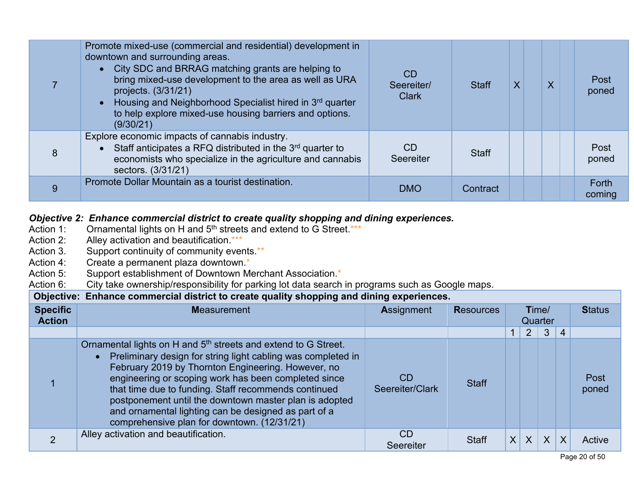|   | Promote mixed-use (commercial and residential) development in<br>downtown and surrounding areas.<br>• City SDC and BRRAG matching grants are helping to<br>bring mixed-use development to the area as well as URA<br>projects. (3/31/21)<br>Housing and Neighborhood Specialist hired in 3rd quarter<br>to help explore mixed-use housing barriers and options.<br>(9/30/21) | <b>CD</b><br>Seereiter/<br><b>Clark</b> | <b>Staff</b> |  | $\overline{\mathsf{X}}$ | Post<br>poned   |
|---|------------------------------------------------------------------------------------------------------------------------------------------------------------------------------------------------------------------------------------------------------------------------------------------------------------------------------------------------------------------------------|-----------------------------------------|--------------|--|-------------------------|-----------------|
| 8 | Explore economic impacts of cannabis industry.<br>Staff anticipates a RFQ distributed in the 3 <sup>rd</sup> quarter to<br>economists who specialize in the agriculture and cannabis<br>sectors. (3/31/21)                                                                                                                                                                   | CD.<br>Seereiter                        | <b>Staff</b> |  |                         | Post<br>poned   |
| 9 | Promote Dollar Mountain as a tourist destination.                                                                                                                                                                                                                                                                                                                            | <b>DMO</b>                              | Contract     |  |                         | Forth<br>coming |

## **Objective 2: Enhance commercial district to create quality shopping and dining experiences.**<br>Action 1: Ornamental lights on H and 5<sup>th</sup> streets and extend to G Street.\*\*\*

- Action 1: Ornamental lights on H and  $5<sup>th</sup>$  streets and extend to G Street.\*\*\*<br>Action 2: Alley activation and beautification.\*\*\*
- Action 2: Alley activation and beautification.\*\*\*<br>Action 3. Support continuity of community ever
- Action 3. Support continuity of community events.\*\*<br>Action 4: Create a permanent plaza downtown.\*
- Create a permanent plaza downtown.\*
- Action 5: Support establishment of Downtown Merchant Association.<sup>\*</sup><br>Action 6: City take ownership/responsibility for parking lot data search

City take ownership/responsibility for parking lot data search in programs such as Google maps.

| Objective: Enhance commercial district to create quality shopping and dining experiences. |                                                                                                                                                                                                                                                                                                                                                                                                                                                                                                |                        |                  |          |                |                  |                |               |  |  |  |  |
|-------------------------------------------------------------------------------------------|------------------------------------------------------------------------------------------------------------------------------------------------------------------------------------------------------------------------------------------------------------------------------------------------------------------------------------------------------------------------------------------------------------------------------------------------------------------------------------------------|------------------------|------------------|----------|----------------|------------------|----------------|---------------|--|--|--|--|
| <b>Specific</b><br><b>Action</b>                                                          | <b>Measurement</b>                                                                                                                                                                                                                                                                                                                                                                                                                                                                             | Assignment             | <b>Resources</b> |          |                | Time/<br>Quarter | <b>Status</b>  |               |  |  |  |  |
|                                                                                           |                                                                                                                                                                                                                                                                                                                                                                                                                                                                                                |                        |                  |          | $\overline{2}$ | 3 <sup>1</sup>   | $\overline{4}$ |               |  |  |  |  |
|                                                                                           | Ornamental lights on H and 5 <sup>th</sup> streets and extend to G Street.<br>Preliminary design for string light cabling was completed in<br>$\bullet$<br>February 2019 by Thornton Engineering. However, no<br>engineering or scoping work has been completed since<br>that time due to funding. Staff recommends continued<br>postponement until the downtown master plan is adopted<br>and ornamental lighting can be designed as part of a<br>comprehensive plan for downtown. (12/31/21) | CD<br>Seereiter/Clark  | <b>Staff</b>     |          |                |                  |                | Post<br>poned |  |  |  |  |
|                                                                                           | Alley activation and beautification.                                                                                                                                                                                                                                                                                                                                                                                                                                                           | <b>CD</b><br>Seereiter | <b>Staff</b>     | $\times$ | $\sf X$        | $\sf X$          | X              | Active        |  |  |  |  |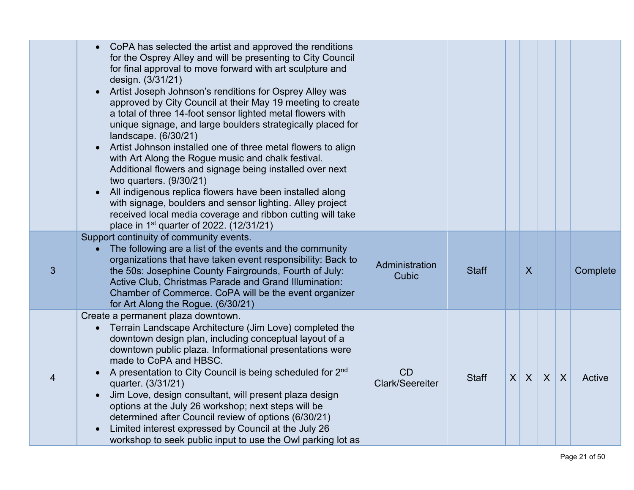|                | CoPA has selected the artist and approved the renditions<br>for the Osprey Alley and will be presenting to City Council<br>for final approval to move forward with art sculpture and<br>design. (3/31/21)<br>Artist Joseph Johnson's renditions for Osprey Alley was<br>approved by City Council at their May 19 meeting to create<br>a total of three 14-foot sensor lighted metal flowers with<br>unique signage, and large boulders strategically placed for<br>landscape. (6/30/21)<br>Artist Johnson installed one of three metal flowers to align<br>with Art Along the Rogue music and chalk festival.<br>Additional flowers and signage being installed over next<br>two quarters. (9/30/21)<br>All indigenous replica flowers have been installed along<br>with signage, boulders and sensor lighting. Alley project<br>received local media coverage and ribbon cutting will take<br>place in 1 <sup>st</sup> quarter of 2022. (12/31/21) |                                |              |                 |              |              |                         |          |
|----------------|-----------------------------------------------------------------------------------------------------------------------------------------------------------------------------------------------------------------------------------------------------------------------------------------------------------------------------------------------------------------------------------------------------------------------------------------------------------------------------------------------------------------------------------------------------------------------------------------------------------------------------------------------------------------------------------------------------------------------------------------------------------------------------------------------------------------------------------------------------------------------------------------------------------------------------------------------------|--------------------------------|--------------|-----------------|--------------|--------------|-------------------------|----------|
| $\mathfrak{S}$ | Support continuity of community events.<br>The following are a list of the events and the community<br>organizations that have taken event responsibility: Back to<br>the 50s: Josephine County Fairgrounds, Fourth of July:<br>Active Club, Christmas Parade and Grand Illumination:<br>Chamber of Commerce. CoPA will be the event organizer<br>for Art Along the Rogue. (6/30/21)                                                                                                                                                                                                                                                                                                                                                                                                                                                                                                                                                                | Administration<br><b>Cubic</b> | <b>Staff</b> |                 | $\sf X$      |              |                         | Complete |
| 4              | Create a permanent plaza downtown.<br>Terrain Landscape Architecture (Jim Love) completed the<br>downtown design plan, including conceptual layout of a<br>downtown public plaza. Informational presentations were<br>made to CoPA and HBSC.<br>A presentation to City Council is being scheduled for 2nd<br>quarter. (3/31/21)<br>Jim Love, design consultant, will present plaza design<br>options at the July 26 workshop; next steps will be<br>determined after Council review of options (6/30/21)<br>Limited interest expressed by Council at the July 26<br>workshop to seek public input to use the Owl parking lot as                                                                                                                                                                                                                                                                                                                     | CD<br>Clark/Seereiter          | <b>Staff</b> | $\vert X \vert$ | $\mathsf{X}$ | $\mathsf{X}$ | $\overline{\mathsf{X}}$ | Active   |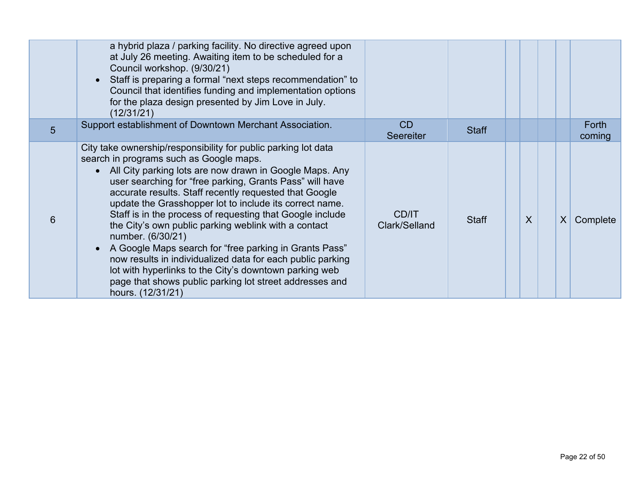|   | a hybrid plaza / parking facility. No directive agreed upon<br>at July 26 meeting. Awaiting item to be scheduled for a<br>Council workshop. (9/30/21)<br>Staff is preparing a formal "next steps recommendation" to<br>Council that identifies funding and implementation options<br>for the plaza design presented by Jim Love in July.<br>(12/31/21)                                                                                                                                                                                                                                                                                                                                                                                                              |                        |              |         |                             |
|---|---------------------------------------------------------------------------------------------------------------------------------------------------------------------------------------------------------------------------------------------------------------------------------------------------------------------------------------------------------------------------------------------------------------------------------------------------------------------------------------------------------------------------------------------------------------------------------------------------------------------------------------------------------------------------------------------------------------------------------------------------------------------|------------------------|--------------|---------|-----------------------------|
| 5 | Support establishment of Downtown Merchant Association.                                                                                                                                                                                                                                                                                                                                                                                                                                                                                                                                                                                                                                                                                                             | CD<br><b>Seereiter</b> | <b>Staff</b> |         | <b>Forth</b><br>coming      |
| 6 | City take ownership/responsibility for public parking lot data<br>search in programs such as Google maps.<br>• All City parking lots are now drawn in Google Maps. Any<br>user searching for "free parking, Grants Pass" will have<br>accurate results. Staff recently requested that Google<br>update the Grasshopper lot to include its correct name.<br>Staff is in the process of requesting that Google include<br>the City's own public parking weblink with a contact<br>number. (6/30/21)<br>A Google Maps search for "free parking in Grants Pass"<br>now results in individualized data for each public parking<br>lot with hyperlinks to the City's downtown parking web<br>page that shows public parking lot street addresses and<br>hours. (12/31/21) | CD/IT<br>Clark/Selland | <b>Staff</b> | $\sf X$ | $\vert X \vert$<br>Complete |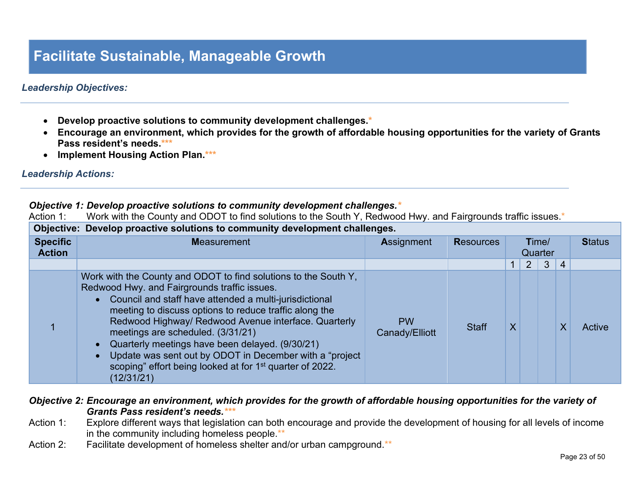### **Facilitate Sustainable, Manageable Growth**

### *Leadership Objectives:*

- **Develop proactive solutions to community development challenges.\***
- **Encourage an environment, which provides for the growth of affordable housing opportunities for the variety of Grants Pass resident's needs.\*\*\***
- **Implement Housing Action Plan.\*\*\***

### *Leadership Actions:*

### *Objective 1: Develop proactive solutions to community development challenges.\**

Action 1: Work with the County and ODOT to find solutions to the South Y, Redwood Hwy. and Fairgrounds traffic issues.\*

|                                  | Objective: Develop proactive solutions to community development challenges.                                                                                                                                                                                                                                                                                                                                                                                                                                                                                       |                             |                  |                         |   |   |                |               |
|----------------------------------|-------------------------------------------------------------------------------------------------------------------------------------------------------------------------------------------------------------------------------------------------------------------------------------------------------------------------------------------------------------------------------------------------------------------------------------------------------------------------------------------------------------------------------------------------------------------|-----------------------------|------------------|-------------------------|---|---|----------------|---------------|
| <b>Specific</b><br><b>Action</b> | <b>Measurement</b>                                                                                                                                                                                                                                                                                                                                                                                                                                                                                                                                                | <b>Assignment</b>           | <b>Resources</b> | Time/<br>Quarter        |   |   |                | <b>Status</b> |
|                                  |                                                                                                                                                                                                                                                                                                                                                                                                                                                                                                                                                                   |                             |                  |                         | 2 | 3 | $\overline{4}$ |               |
|                                  | Work with the County and ODOT to find solutions to the South Y,<br>Redwood Hwy. and Fairgrounds traffic issues.<br>• Council and staff have attended a multi-jurisdictional<br>meeting to discuss options to reduce traffic along the<br>Redwood Highway/ Redwood Avenue interface. Quarterly<br>meetings are scheduled. (3/31/21)<br>Quarterly meetings have been delayed. (9/30/21)<br>$\bullet$<br>Update was sent out by ODOT in December with a "project"<br>$\bullet$<br>scoping" effort being looked at for 1 <sup>st</sup> quarter of 2022.<br>(12/31/21) | <b>PW</b><br>Canady/Elliott | <b>Staff</b>     | $\overline{\mathsf{X}}$ |   |   | Χ              | Active        |

### *Objective 2: Encourage an environment, which provides for the growth of affordable housing opportunities for the variety of Grants Pass resident's needs.\*\*\**

- Action 1: Explore different ways that legislation can both encourage and provide the development of housing for all levels of income in the community including homeless people.\*\*
- Action 2: Facilitate development of homeless shelter and/or urban campground.\*\*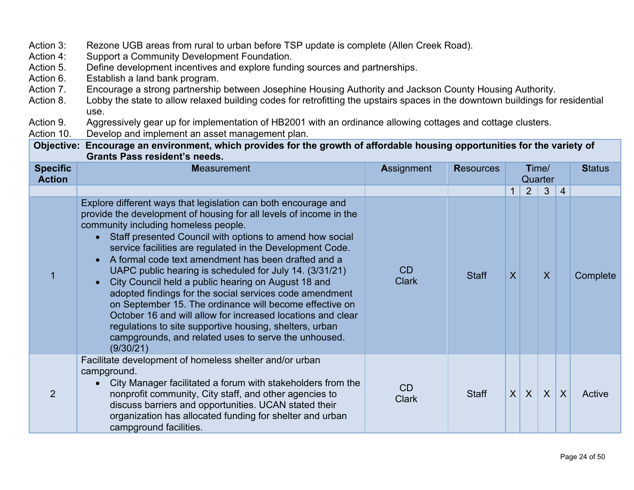| Action 3:                        | Rezone UGB areas from rural to urban before TSP update is complete (Allen Creek Road).                                                                                                                                                                                                                                                                                                                                                                                                                                                                                                                                                                                                                                                                                                                           |                                                                                                             |                  |                         |                  |                  |                  |               |
|----------------------------------|------------------------------------------------------------------------------------------------------------------------------------------------------------------------------------------------------------------------------------------------------------------------------------------------------------------------------------------------------------------------------------------------------------------------------------------------------------------------------------------------------------------------------------------------------------------------------------------------------------------------------------------------------------------------------------------------------------------------------------------------------------------------------------------------------------------|-------------------------------------------------------------------------------------------------------------|------------------|-------------------------|------------------|------------------|------------------|---------------|
| Action 4:                        | Support a Community Development Foundation.                                                                                                                                                                                                                                                                                                                                                                                                                                                                                                                                                                                                                                                                                                                                                                      |                                                                                                             |                  |                         |                  |                  |                  |               |
| Action 5.                        | Define development incentives and explore funding sources and partnerships.                                                                                                                                                                                                                                                                                                                                                                                                                                                                                                                                                                                                                                                                                                                                      |                                                                                                             |                  |                         |                  |                  |                  |               |
| Action 6.                        | Establish a land bank program.                                                                                                                                                                                                                                                                                                                                                                                                                                                                                                                                                                                                                                                                                                                                                                                   |                                                                                                             |                  |                         |                  |                  |                  |               |
| Action 7.                        | Encourage a strong partnership between Josephine Housing Authority and Jackson County Housing Authority.                                                                                                                                                                                                                                                                                                                                                                                                                                                                                                                                                                                                                                                                                                         |                                                                                                             |                  |                         |                  |                  |                  |               |
| Action 8.                        | Lobby the state to allow relaxed building codes for retrofitting the upstairs spaces in the downtown buildings for residential                                                                                                                                                                                                                                                                                                                                                                                                                                                                                                                                                                                                                                                                                   |                                                                                                             |                  |                         |                  |                  |                  |               |
|                                  | use.                                                                                                                                                                                                                                                                                                                                                                                                                                                                                                                                                                                                                                                                                                                                                                                                             |                                                                                                             |                  |                         |                  |                  |                  |               |
| Action 9.                        |                                                                                                                                                                                                                                                                                                                                                                                                                                                                                                                                                                                                                                                                                                                                                                                                                  | Aggressively gear up for implementation of HB2001 with an ordinance allowing cottages and cottage clusters. |                  |                         |                  |                  |                  |               |
| Action 10.                       | Develop and implement an asset management plan.                                                                                                                                                                                                                                                                                                                                                                                                                                                                                                                                                                                                                                                                                                                                                                  |                                                                                                             |                  |                         |                  |                  |                  |               |
|                                  | Objective: Encourage an environment, which provides for the growth of affordable housing opportunities for the variety of<br><b>Grants Pass resident's needs.</b>                                                                                                                                                                                                                                                                                                                                                                                                                                                                                                                                                                                                                                                |                                                                                                             |                  |                         |                  |                  |                  |               |
| <b>Specific</b><br><b>Action</b> | <b>Measurement</b>                                                                                                                                                                                                                                                                                                                                                                                                                                                                                                                                                                                                                                                                                                                                                                                               | Assignment                                                                                                  | <b>Resources</b> |                         |                  | Time/<br>Quarter |                  | <b>Status</b> |
|                                  |                                                                                                                                                                                                                                                                                                                                                                                                                                                                                                                                                                                                                                                                                                                                                                                                                  |                                                                                                             |                  | $\mathbf{1}$            | 2                | $\mathbf{3}$     | $\overline{4}$   |               |
| 1                                | Explore different ways that legislation can both encourage and<br>provide the development of housing for all levels of income in the<br>community including homeless people.<br>Staff presented Council with options to amend how social<br>service facilities are regulated in the Development Code.<br>A formal code text amendment has been drafted and a<br>$\bullet$<br>UAPC public hearing is scheduled for July 14. (3/31/21)<br>City Council held a public hearing on August 18 and<br>adopted findings for the social services code amendment<br>on September 15. The ordinance will become effective on<br>October 16 and will allow for increased locations and clear<br>regulations to site supportive housing, shelters, urban<br>campgrounds, and related uses to serve the unhoused.<br>(9/30/21) | CD<br><b>Clark</b>                                                                                          | <b>Staff</b>     | $\overline{\mathsf{X}}$ |                  | $\boldsymbol{X}$ |                  | Complete      |
| $\overline{2}$                   | Facilitate development of homeless shelter and/or urban<br>campground.<br>City Manager facilitated a forum with stakeholders from the<br>nonprofit community, City staff, and other agencies to<br>discuss barriers and opportunities. UCAN stated their<br>organization has allocated funding for shelter and urban<br>campground facilities.                                                                                                                                                                                                                                                                                                                                                                                                                                                                   | <b>CD</b><br><b>Clark</b>                                                                                   | <b>Staff</b>     | $\sf X$                 | $\boldsymbol{X}$ | $\sf X$          | $\boldsymbol{X}$ | Active        |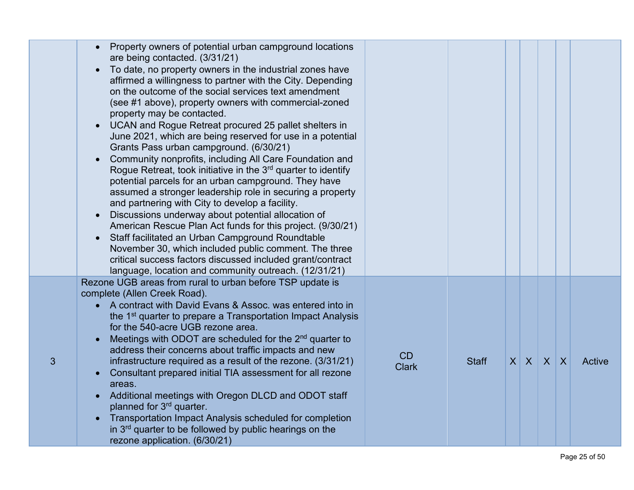|   | Property owners of potential urban campground locations<br>are being contacted. (3/31/21)<br>To date, no property owners in the industrial zones have<br>$\bullet$<br>affirmed a willingness to partner with the City. Depending<br>on the outcome of the social services text amendment<br>(see #1 above), property owners with commercial-zoned<br>property may be contacted.<br>UCAN and Rogue Retreat procured 25 pallet shelters in<br>June 2021, which are being reserved for use in a potential<br>Grants Pass urban campground. (6/30/21)<br>Community nonprofits, including All Care Foundation and<br>Rogue Retreat, took initiative in the $3rd$ quarter to identify<br>potential parcels for an urban campground. They have<br>assumed a stronger leadership role in securing a property<br>and partnering with City to develop a facility.<br>Discussions underway about potential allocation of<br>American Rescue Plan Act funds for this project. (9/30/21)<br>Staff facilitated an Urban Campground Roundtable<br>$\bullet$<br>November 30, which included public comment. The three<br>critical success factors discussed included grant/contract<br>language, location and community outreach. (12/31/21) |                    |              |         |              |              |        |
|---|------------------------------------------------------------------------------------------------------------------------------------------------------------------------------------------------------------------------------------------------------------------------------------------------------------------------------------------------------------------------------------------------------------------------------------------------------------------------------------------------------------------------------------------------------------------------------------------------------------------------------------------------------------------------------------------------------------------------------------------------------------------------------------------------------------------------------------------------------------------------------------------------------------------------------------------------------------------------------------------------------------------------------------------------------------------------------------------------------------------------------------------------------------------------------------------------------------------------------|--------------------|--------------|---------|--------------|--------------|--------|
| 3 | Rezone UGB areas from rural to urban before TSP update is<br>complete (Allen Creek Road).<br>• A contract with David Evans & Assoc. was entered into in<br>the 1 <sup>st</sup> quarter to prepare a Transportation Impact Analysis<br>for the 540-acre UGB rezone area.<br>Meetings with ODOT are scheduled for the 2 <sup>nd</sup> quarter to<br>address their concerns about traffic impacts and new<br>infrastructure required as a result of the rezone. (3/31/21)<br>Consultant prepared initial TIA assessment for all rezone<br>areas.<br>Additional meetings with Oregon DLCD and ODOT staff<br>planned for 3rd quarter.<br>Transportation Impact Analysis scheduled for completion<br>in $3rd$ quarter to be followed by public hearings on the<br>rezone application. (6/30/21)                                                                                                                                                                                                                                                                                                                                                                                                                                    | CD<br><b>Clark</b> | <b>Staff</b> | $X$ $X$ | $\mathsf{X}$ | $\mathsf{X}$ | Active |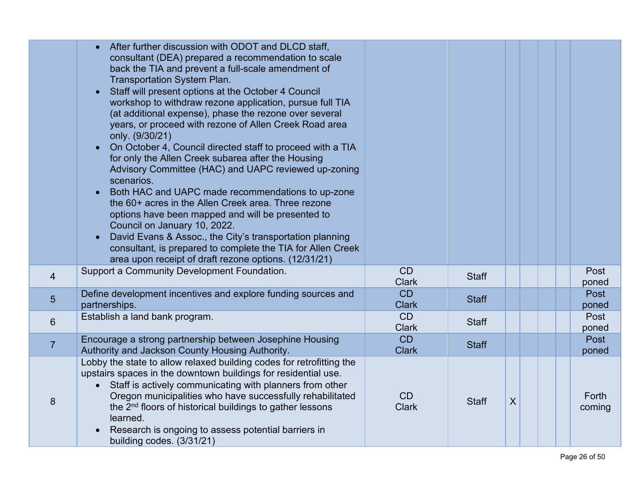|                | After further discussion with ODOT and DLCD staff,<br>consultant (DEA) prepared a recommendation to scale<br>back the TIA and prevent a full-scale amendment of<br><b>Transportation System Plan.</b><br>Staff will present options at the October 4 Council<br>workshop to withdraw rezone application, pursue full TIA<br>(at additional expense), phase the rezone over several<br>years, or proceed with rezone of Allen Creek Road area<br>only. (9/30/21)<br>On October 4, Council directed staff to proceed with a TIA<br>for only the Allen Creek subarea after the Housing<br>Advisory Committee (HAC) and UAPC reviewed up-zoning<br>scenarios.<br>Both HAC and UAPC made recommendations to up-zone<br>the 60+ acres in the Allen Creek area. Three rezone<br>options have been mapped and will be presented to<br>Council on January 10, 2022.<br>David Evans & Assoc., the City's transportation planning<br>consultant, is prepared to complete the TIA for Allen Creek<br>area upon receipt of draft rezone options. (12/31/21) |                           |              |   |  |                 |
|----------------|------------------------------------------------------------------------------------------------------------------------------------------------------------------------------------------------------------------------------------------------------------------------------------------------------------------------------------------------------------------------------------------------------------------------------------------------------------------------------------------------------------------------------------------------------------------------------------------------------------------------------------------------------------------------------------------------------------------------------------------------------------------------------------------------------------------------------------------------------------------------------------------------------------------------------------------------------------------------------------------------------------------------------------------------|---------------------------|--------------|---|--|-----------------|
| $\overline{4}$ | Support a Community Development Foundation.                                                                                                                                                                                                                                                                                                                                                                                                                                                                                                                                                                                                                                                                                                                                                                                                                                                                                                                                                                                                    | CD<br><b>Clark</b>        | <b>Staff</b> |   |  | Post<br>poned   |
| 5              | Define development incentives and explore funding sources and<br>partnerships.                                                                                                                                                                                                                                                                                                                                                                                                                                                                                                                                                                                                                                                                                                                                                                                                                                                                                                                                                                 | <b>CD</b><br><b>Clark</b> | <b>Staff</b> |   |  | Post<br>poned   |
| $6\phantom{1}$ | Establish a land bank program.                                                                                                                                                                                                                                                                                                                                                                                                                                                                                                                                                                                                                                                                                                                                                                                                                                                                                                                                                                                                                 | CD<br><b>Clark</b>        | <b>Staff</b> |   |  | Post<br>poned   |
| $\overline{7}$ | Encourage a strong partnership between Josephine Housing<br>Authority and Jackson County Housing Authority.                                                                                                                                                                                                                                                                                                                                                                                                                                                                                                                                                                                                                                                                                                                                                                                                                                                                                                                                    | CD<br><b>Clark</b>        | <b>Staff</b> |   |  | Post<br>poned   |
| 8              | Lobby the state to allow relaxed building codes for retrofitting the<br>upstairs spaces in the downtown buildings for residential use.<br>Staff is actively communicating with planners from other<br>$\bullet$<br>Oregon municipalities who have successfully rehabilitated<br>the 2 <sup>nd</sup> floors of historical buildings to gather lessons<br>learned.<br>Research is ongoing to assess potential barriers in<br>building codes. (3/31/21)                                                                                                                                                                                                                                                                                                                                                                                                                                                                                                                                                                                           | CD<br><b>Clark</b>        | <b>Staff</b> | X |  | Forth<br>coming |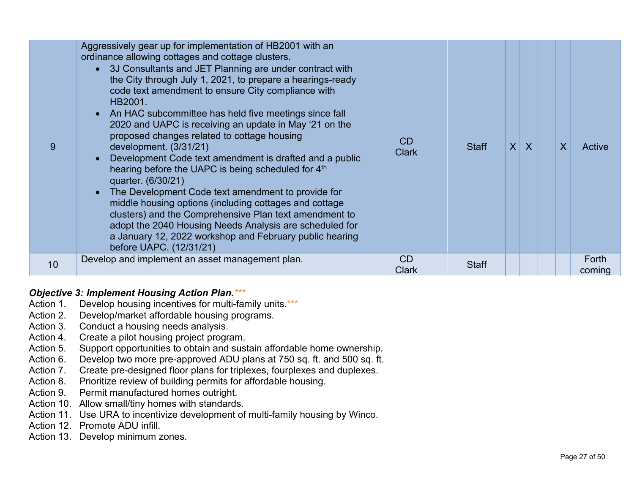| 9  | Aggressively gear up for implementation of HB2001 with an<br>ordinance allowing cottages and cottage clusters.<br>• 3J Consultants and JET Planning are under contract with<br>the City through July 1, 2021, to prepare a hearings-ready<br>code text amendment to ensure City compliance with<br>HB2001.<br>• An HAC subcommittee has held five meetings since fall<br>2020 and UAPC is receiving an update in May '21 on the<br>proposed changes related to cottage housing<br>development. (3/31/21)<br>Development Code text amendment is drafted and a public<br>$\bullet$<br>hearing before the UAPC is being scheduled for 4th<br>quarter. (6/30/21)<br>The Development Code text amendment to provide for<br>$\bullet$<br>middle housing options (including cottages and cottage<br>clusters) and the Comprehensive Plan text amendment to<br>adopt the 2040 Housing Needs Analysis are scheduled for<br>a January 12, 2022 workshop and February public hearing<br>before UAPC. (12/31/21) | CD<br><b>Clark</b> | <b>Staff</b> | $X$ $X$ | $\overline{\mathsf{X}}$ | Active          |
|----|------------------------------------------------------------------------------------------------------------------------------------------------------------------------------------------------------------------------------------------------------------------------------------------------------------------------------------------------------------------------------------------------------------------------------------------------------------------------------------------------------------------------------------------------------------------------------------------------------------------------------------------------------------------------------------------------------------------------------------------------------------------------------------------------------------------------------------------------------------------------------------------------------------------------------------------------------------------------------------------------------|--------------------|--------------|---------|-------------------------|-----------------|
| 10 | Develop and implement an asset management plan.                                                                                                                                                                                                                                                                                                                                                                                                                                                                                                                                                                                                                                                                                                                                                                                                                                                                                                                                                      | <b>CD</b><br>Clark | <b>Staff</b> |         |                         | Forth<br>coming |

### *Objective 3: Implement Housing Action Plan.\*\*\**

- Action 1. Develop housing incentives for multi-family units.\*\*\*
- Action 2. Develop/market affordable housing programs.
- Action 3. Conduct a housing needs analysis.
- Action 4. Create a pilot housing project program.
- Action 5. Support opportunities to obtain and sustain affordable home ownership.
- Action 6. Develop two more pre-approved ADU plans at 750 sq. ft. and 500 sq. ft.
- Action 7. Create pre-designed floor plans for triplexes, fourplexes and duplexes.
- Action 8. Prioritize review of building permits for affordable housing.
- Action 9. Permit manufactured homes outright.
- Action 10. Allow small/tiny homes with standards.
- Action 11. Use URA to incentivize development of multi-family housing by Winco.
- Action 12. Promote ADU infill.
- Action 13. Develop minimum zones.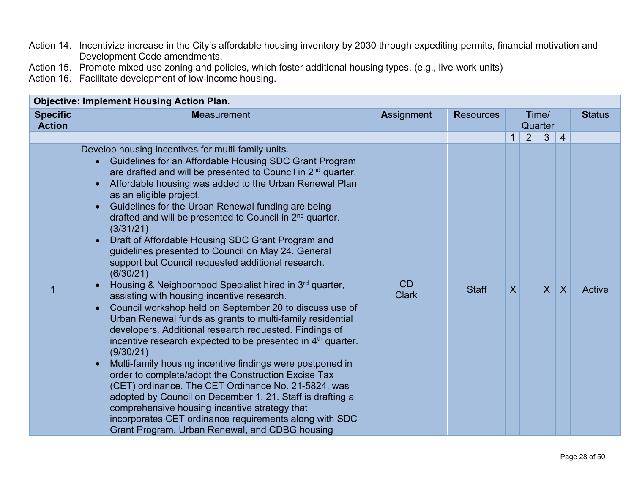- Action 14. Incentivize increase in the City's affordable housing inventory by 2030 through expediting permits, financial motivation and Development Code amendments.
- Action 15. Promote mixed use zoning and policies, which foster additional housing types. (e.g., live-work units)

Action 16. Facilitate development of low-income housing.

|                                  | <b>Objective: Implement Housing Action Plan.</b>                                                                                                                                                                                                                                                                                                                                                                                                                                                                                                                                                                                                                                                                                                                                                                                                                                                                                                                                                                                                                                                                                                                                                                                                                                                                                                                                                                                         |                    |                  |              |   |                  |                |               |
|----------------------------------|------------------------------------------------------------------------------------------------------------------------------------------------------------------------------------------------------------------------------------------------------------------------------------------------------------------------------------------------------------------------------------------------------------------------------------------------------------------------------------------------------------------------------------------------------------------------------------------------------------------------------------------------------------------------------------------------------------------------------------------------------------------------------------------------------------------------------------------------------------------------------------------------------------------------------------------------------------------------------------------------------------------------------------------------------------------------------------------------------------------------------------------------------------------------------------------------------------------------------------------------------------------------------------------------------------------------------------------------------------------------------------------------------------------------------------------|--------------------|------------------|--------------|---|------------------|----------------|---------------|
| <b>Specific</b><br><b>Action</b> | <b>Measurement</b>                                                                                                                                                                                                                                                                                                                                                                                                                                                                                                                                                                                                                                                                                                                                                                                                                                                                                                                                                                                                                                                                                                                                                                                                                                                                                                                                                                                                                       | <b>Assignment</b>  | <b>Resources</b> |              |   | Time/<br>Quarter |                | <b>Status</b> |
|                                  |                                                                                                                                                                                                                                                                                                                                                                                                                                                                                                                                                                                                                                                                                                                                                                                                                                                                                                                                                                                                                                                                                                                                                                                                                                                                                                                                                                                                                                          |                    |                  | $\mathbf{1}$ | 2 | 3                | 4              |               |
|                                  | Develop housing incentives for multi-family units.<br>Guidelines for an Affordable Housing SDC Grant Program<br>are drafted and will be presented to Council in 2 <sup>nd</sup> quarter.<br>Affordable housing was added to the Urban Renewal Plan<br>$\bullet$<br>as an eligible project.<br>Guidelines for the Urban Renewal funding are being<br>$\bullet$<br>drafted and will be presented to Council in 2 <sup>nd</sup> quarter.<br>(3/31/21)<br>Draft of Affordable Housing SDC Grant Program and<br>guidelines presented to Council on May 24. General<br>support but Council requested additional research.<br>(6/30/21)<br>Housing & Neighborhood Specialist hired in 3rd quarter,<br>assisting with housing incentive research.<br>Council workshop held on September 20 to discuss use of<br>$\bullet$<br>Urban Renewal funds as grants to multi-family residential<br>developers. Additional research requested. Findings of<br>incentive research expected to be presented in $4th$ quarter.<br>(9/30/21)<br>Multi-family housing incentive findings were postponed in<br>$\bullet$<br>order to complete/adopt the Construction Excise Tax<br>(CET) ordinance. The CET Ordinance No. 21-5824, was<br>adopted by Council on December 1, 21. Staff is drafting a<br>comprehensive housing incentive strategy that<br>incorporates CET ordinance requirements along with SDC<br>Grant Program, Urban Renewal, and CDBG housing | CD<br><b>Clark</b> | <b>Staff</b>     | $\sf X$      |   | $\overline{X}$   | $\overline{X}$ | Active        |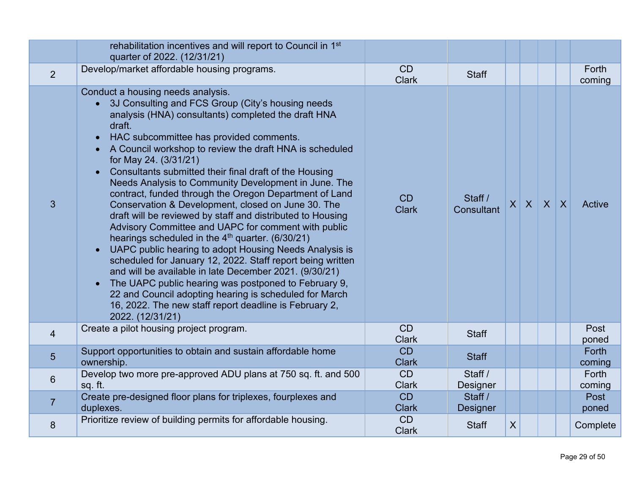|                | rehabilitation incentives and will report to Council in 1 <sup>st</sup><br>quarter of 2022. (12/31/21)                                                                                                                                                                                                                                                                                                                                                                                                                                                                                                                                                                                                                                                                                                                                                                                                                                                                                                                                                                                                       |                           |                       |                  |                 |  |                 |
|----------------|--------------------------------------------------------------------------------------------------------------------------------------------------------------------------------------------------------------------------------------------------------------------------------------------------------------------------------------------------------------------------------------------------------------------------------------------------------------------------------------------------------------------------------------------------------------------------------------------------------------------------------------------------------------------------------------------------------------------------------------------------------------------------------------------------------------------------------------------------------------------------------------------------------------------------------------------------------------------------------------------------------------------------------------------------------------------------------------------------------------|---------------------------|-----------------------|------------------|-----------------|--|-----------------|
| 2              | Develop/market affordable housing programs.                                                                                                                                                                                                                                                                                                                                                                                                                                                                                                                                                                                                                                                                                                                                                                                                                                                                                                                                                                                                                                                                  | CD<br><b>Clark</b>        | <b>Staff</b>          |                  |                 |  | Forth<br>coming |
| $\overline{3}$ | Conduct a housing needs analysis.<br>3J Consulting and FCS Group (City's housing needs<br>analysis (HNA) consultants) completed the draft HNA<br>draft.<br>HAC subcommittee has provided comments.<br>$\bullet$<br>A Council workshop to review the draft HNA is scheduled<br>for May 24. (3/31/21)<br>Consultants submitted their final draft of the Housing<br>Needs Analysis to Community Development in June. The<br>contract, funded through the Oregon Department of Land<br>Conservation & Development, closed on June 30. The<br>draft will be reviewed by staff and distributed to Housing<br>Advisory Committee and UAPC for comment with public<br>hearings scheduled in the 4 <sup>th</sup> quarter. (6/30/21)<br>UAPC public hearing to adopt Housing Needs Analysis is<br>scheduled for January 12, 2022. Staff report being written<br>and will be available in late December 2021. (9/30/21)<br>The UAPC public hearing was postponed to February 9,<br>22 and Council adopting hearing is scheduled for March<br>16, 2022. The new staff report deadline is February 2,<br>2022. (12/31/21) | CD<br><b>Clark</b>        | Staff /<br>Consultant |                  | $X$ $X$ $X$ $X$ |  | Active          |
| $\overline{4}$ | Create a pilot housing project program.                                                                                                                                                                                                                                                                                                                                                                                                                                                                                                                                                                                                                                                                                                                                                                                                                                                                                                                                                                                                                                                                      | CD<br><b>Clark</b>        | <b>Staff</b>          |                  |                 |  | Post<br>poned   |
| $5\phantom{1}$ | Support opportunities to obtain and sustain affordable home<br>ownership.                                                                                                                                                                                                                                                                                                                                                                                                                                                                                                                                                                                                                                                                                                                                                                                                                                                                                                                                                                                                                                    | <b>CD</b><br><b>Clark</b> | <b>Staff</b>          |                  |                 |  | Forth<br>coming |
| 6              | Develop two more pre-approved ADU plans at 750 sq. ft. and 500<br>sq. ft.                                                                                                                                                                                                                                                                                                                                                                                                                                                                                                                                                                                                                                                                                                                                                                                                                                                                                                                                                                                                                                    | CD<br><b>Clark</b>        | Staff /<br>Designer   |                  |                 |  | Forth<br>coming |
| $\overline{7}$ | Create pre-designed floor plans for triplexes, fourplexes and<br>duplexes.                                                                                                                                                                                                                                                                                                                                                                                                                                                                                                                                                                                                                                                                                                                                                                                                                                                                                                                                                                                                                                   | <b>CD</b><br><b>Clark</b> | Staff /<br>Designer   |                  |                 |  | Post<br>poned   |
| 8              | Prioritize review of building permits for affordable housing.                                                                                                                                                                                                                                                                                                                                                                                                                                                                                                                                                                                                                                                                                                                                                                                                                                                                                                                                                                                                                                                | CD<br><b>Clark</b>        | <b>Staff</b>          | $\boldsymbol{X}$ |                 |  | Complete        |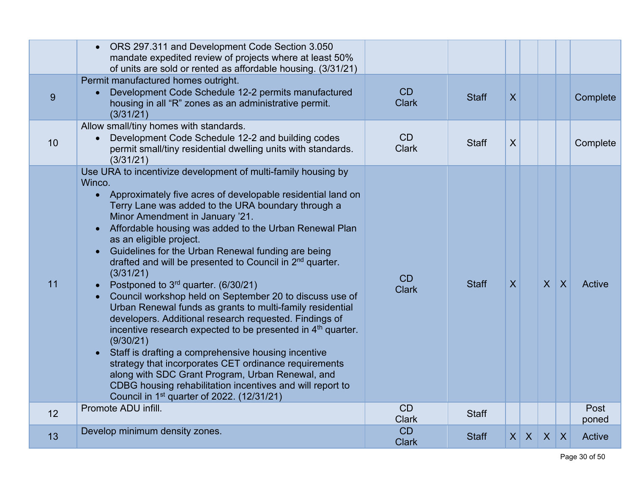|    | ORS 297.311 and Development Code Section 3.050<br>mandate expedited review of projects where at least 50%<br>of units are sold or rented as affordable housing. (3/31/21)                                                                                                                                                                                                                                                                                                                                                                                                                                                                                                                                                                                                                                                                                                                                                                                                                                                                                                                            |                    |              |                 |              |              |                |               |
|----|------------------------------------------------------------------------------------------------------------------------------------------------------------------------------------------------------------------------------------------------------------------------------------------------------------------------------------------------------------------------------------------------------------------------------------------------------------------------------------------------------------------------------------------------------------------------------------------------------------------------------------------------------------------------------------------------------------------------------------------------------------------------------------------------------------------------------------------------------------------------------------------------------------------------------------------------------------------------------------------------------------------------------------------------------------------------------------------------------|--------------------|--------------|-----------------|--------------|--------------|----------------|---------------|
| 9  | Permit manufactured homes outright.<br>Development Code Schedule 12-2 permits manufactured<br>housing in all "R" zones as an administrative permit.<br>(3/31/21)                                                                                                                                                                                                                                                                                                                                                                                                                                                                                                                                                                                                                                                                                                                                                                                                                                                                                                                                     | CD<br><b>Clark</b> | <b>Staff</b> | $\mathsf{X}$    |              |              |                | Complete      |
| 10 | Allow small/tiny homes with standards.<br>Development Code Schedule 12-2 and building codes<br>permit small/tiny residential dwelling units with standards.<br>(3/31/21)                                                                                                                                                                                                                                                                                                                                                                                                                                                                                                                                                                                                                                                                                                                                                                                                                                                                                                                             | CD<br><b>Clark</b> | <b>Staff</b> | X               |              |              |                | Complete      |
| 11 | Use URA to incentivize development of multi-family housing by<br>Winco.<br>Approximately five acres of developable residential land on<br>Terry Lane was added to the URA boundary through a<br>Minor Amendment in January '21.<br>Affordable housing was added to the Urban Renewal Plan<br>$\bullet$<br>as an eligible project.<br>Guidelines for the Urban Renewal funding are being<br>drafted and will be presented to Council in 2 <sup>nd</sup> quarter.<br>(3/31/21)<br>Postponed to 3 <sup>rd</sup> quarter. (6/30/21)<br>Council workshop held on September 20 to discuss use of<br>Urban Renewal funds as grants to multi-family residential<br>developers. Additional research requested. Findings of<br>incentive research expected to be presented in 4 <sup>th</sup> quarter.<br>(9/30/21)<br>Staff is drafting a comprehensive housing incentive<br>strategy that incorporates CET ordinance requirements<br>along with SDC Grant Program, Urban Renewal, and<br>CDBG housing rehabilitation incentives and will report to<br>Council in 1 <sup>st</sup> quarter of 2022. (12/31/21) | CD<br><b>Clark</b> | <b>Staff</b> | $\mathsf{X}$    |              | $\mathsf{X}$ | $\overline{X}$ | Active        |
| 12 | Promote ADU infill.                                                                                                                                                                                                                                                                                                                                                                                                                                                                                                                                                                                                                                                                                                                                                                                                                                                                                                                                                                                                                                                                                  | CD<br><b>Clark</b> | <b>Staff</b> |                 |              |              |                | Post<br>poned |
| 13 | Develop minimum density zones.                                                                                                                                                                                                                                                                                                                                                                                                                                                                                                                                                                                                                                                                                                                                                                                                                                                                                                                                                                                                                                                                       | CD<br><b>Clark</b> | <b>Staff</b> | $\vert X \vert$ | $\mathsf{X}$ | $\mathsf{X}$ | $\mathsf{X}$   | Active        |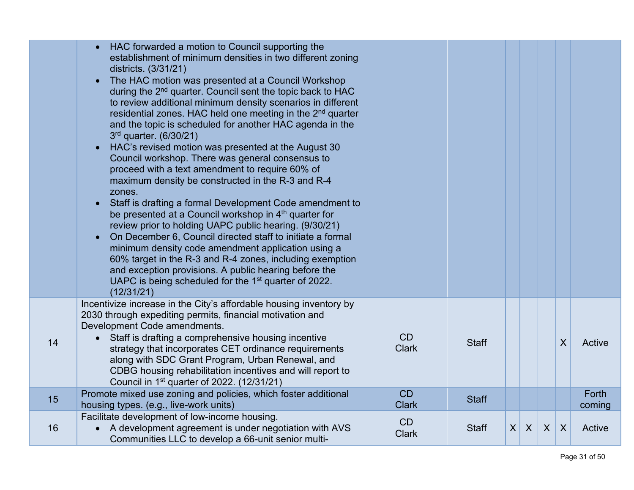|    | HAC forwarded a motion to Council supporting the<br>establishment of minimum densities in two different zoning<br>districts. (3/31/21)<br>The HAC motion was presented at a Council Workshop<br>during the 2 <sup>nd</sup> quarter. Council sent the topic back to HAC<br>to review additional minimum density scenarios in different<br>residential zones. HAC held one meeting in the 2 <sup>nd</sup> quarter<br>and the topic is scheduled for another HAC agenda in the<br>$3rd$ quarter. (6/30/21)<br>HAC's revised motion was presented at the August 30<br>Council workshop. There was general consensus to<br>proceed with a text amendment to require 60% of<br>maximum density be constructed in the R-3 and R-4<br>zones.<br>Staff is drafting a formal Development Code amendment to<br>$\bullet$ |                    |              |                 |         |   |   |                 |
|----|---------------------------------------------------------------------------------------------------------------------------------------------------------------------------------------------------------------------------------------------------------------------------------------------------------------------------------------------------------------------------------------------------------------------------------------------------------------------------------------------------------------------------------------------------------------------------------------------------------------------------------------------------------------------------------------------------------------------------------------------------------------------------------------------------------------|--------------------|--------------|-----------------|---------|---|---|-----------------|
|    | be presented at a Council workshop in 4th quarter for<br>review prior to holding UAPC public hearing. (9/30/21)<br>On December 6, Council directed staff to initiate a formal<br>$\bullet$<br>minimum density code amendment application using a<br>60% target in the R-3 and R-4 zones, including exemption<br>and exception provisions. A public hearing before the<br>UAPC is being scheduled for the 1 <sup>st</sup> quarter of 2022.<br>(12/31/21)                                                                                                                                                                                                                                                                                                                                                       |                    |              |                 |         |   |   |                 |
| 14 | Incentivize increase in the City's affordable housing inventory by<br>2030 through expediting permits, financial motivation and<br>Development Code amendments.<br>Staff is drafting a comprehensive housing incentive<br>strategy that incorporates CET ordinance requirements<br>along with SDC Grant Program, Urban Renewal, and<br>CDBG housing rehabilitation incentives and will report to<br>Council in 1 <sup>st</sup> quarter of 2022. (12/31/21)                                                                                                                                                                                                                                                                                                                                                    | CD<br><b>Clark</b> | <b>Staff</b> |                 |         |   | X | <b>Active</b>   |
| 15 | Promote mixed use zoning and policies, which foster additional<br>housing types. (e.g., live-work units)                                                                                                                                                                                                                                                                                                                                                                                                                                                                                                                                                                                                                                                                                                      | CD<br><b>Clark</b> | <b>Staff</b> |                 |         |   |   | Forth<br>coming |
| 16 | Facilitate development of low-income housing.<br>A development agreement is under negotiation with AVS<br>Communities LLC to develop a 66-unit senior multi-                                                                                                                                                                                                                                                                                                                                                                                                                                                                                                                                                                                                                                                  | CD<br><b>Clark</b> | <b>Staff</b> | $\vert X \vert$ | $\sf X$ | X | X | Active          |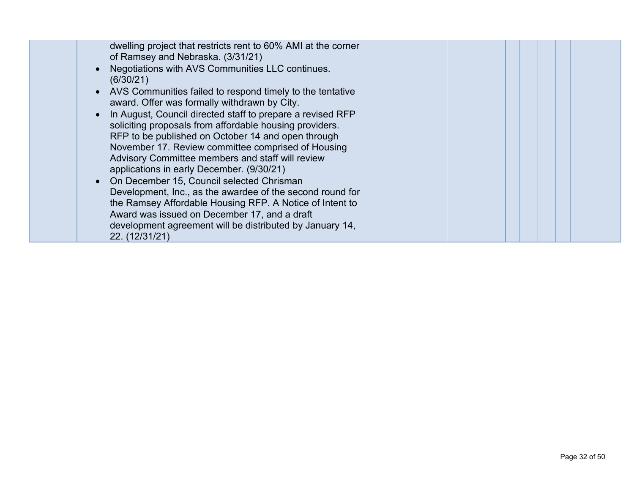| dwelling project that restricts rent to 60% AMI at the corner<br>of Ramsey and Nebraska. (3/31/21)<br>Negotiations with AVS Communities LLC continues.<br>(6/30/21)<br>• AVS Communities failed to respond timely to the tentative<br>award. Offer was formally withdrawn by City.<br>• In August, Council directed staff to prepare a revised RFP<br>soliciting proposals from affordable housing providers.<br>RFP to be published on October 14 and open through<br>November 17. Review committee comprised of Housing<br>Advisory Committee members and staff will review<br>applications in early December. (9/30/21)<br>• On December 15, Council selected Chrisman<br>Development, Inc., as the awardee of the second round for<br>the Ramsey Affordable Housing RFP. A Notice of Intent to<br>Award was issued on December 17, and a draft<br>development agreement will be distributed by January 14, |  |
|----------------------------------------------------------------------------------------------------------------------------------------------------------------------------------------------------------------------------------------------------------------------------------------------------------------------------------------------------------------------------------------------------------------------------------------------------------------------------------------------------------------------------------------------------------------------------------------------------------------------------------------------------------------------------------------------------------------------------------------------------------------------------------------------------------------------------------------------------------------------------------------------------------------|--|
| 22. (12/31/21)                                                                                                                                                                                                                                                                                                                                                                                                                                                                                                                                                                                                                                                                                                                                                                                                                                                                                                 |  |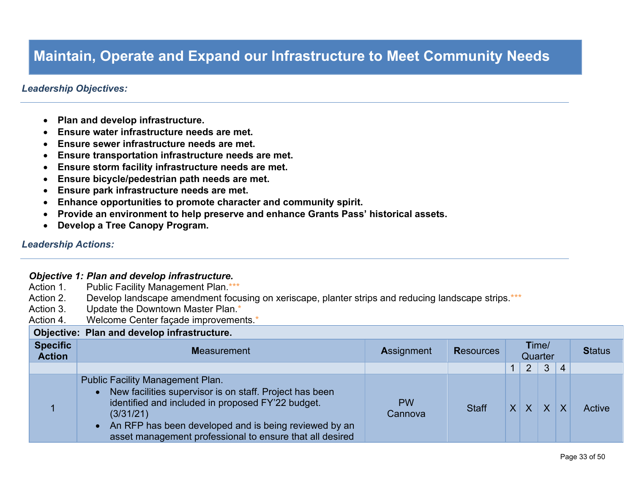### **Maintain, Operate and Expand our Infrastructure to Meet Community Needs**

### *Leadership Objectives:*

- **Plan and develop infrastructure.**
- **Ensure water infrastructure needs are met.**
- **Ensure sewer infrastructure needs are met.**
- **Ensure transportation infrastructure needs are met.**
- **Ensure storm facility infrastructure needs are met.**
- **Ensure bicycle/pedestrian path needs are met.**
- **Ensure park infrastructure needs are met.**
- **Enhance opportunities to promote character and community spirit.**
- **Provide an environment to help preserve and enhance Grants Pass' historical assets.**
- **Develop a Tree Canopy Program.**

#### *Leadership Actions:*

#### *Objective 1: Plan and develop infrastructure.*

Action 1. Public Facility Management Plan.\*\*\* Action 2. Develop landscape amendment focusing on xeriscape, planter strips and reducing landscape strips.\*\*\* Action 3. Update the Downtown Master Plan.\* Action 4. Welcome Center façade improvements.\* **Objective: Plan and develop infrastructure. Specific Action <sup>M</sup>**easurement **<sup>A</sup>**ssignment **<sup>R</sup>**esources **T**ime/ Quarter **<sup>S</sup>**tatus 1 2 3 4 1 Public Facility Management Plan. • New facilities supervisor is on staff. Project has been identified and included in proposed FY'22 budget. (3/31/21) • An RFP has been developed and is being reviewed by an asset management professional to ensure that all desired PW Cannova Staff  $X \mid X \mid X \mid X$  Active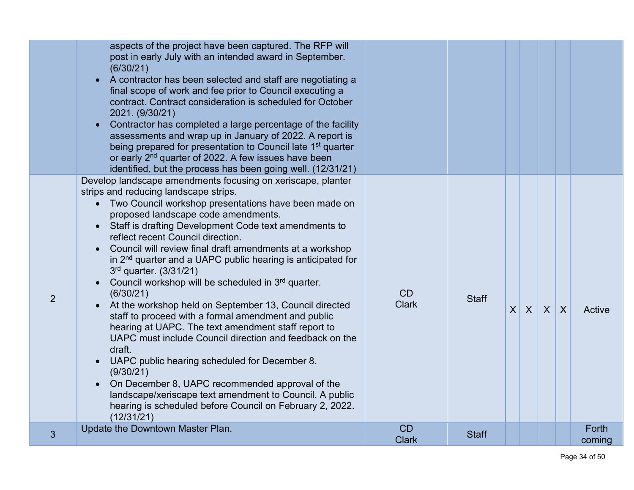|   | aspects of the project have been captured. The RFP will<br>post in early July with an intended award in September.<br>(6/30/21)<br>A contractor has been selected and staff are negotiating a<br>$\bullet$<br>final scope of work and fee prior to Council executing a<br>contract. Contract consideration is scheduled for October<br>2021. (9/30/21)<br>Contractor has completed a large percentage of the facility<br>$\bullet$<br>assessments and wrap up in January of 2022. A report is<br>being prepared for presentation to Council late 1 <sup>st</sup> quarter<br>or early 2 <sup>nd</sup> quarter of 2022. A few issues have been<br>identified, but the process has been going well. (12/31/21)                                                                                                                                                                                                                                                                                                                                               |                           |              |         |              |                |                 |
|---|-----------------------------------------------------------------------------------------------------------------------------------------------------------------------------------------------------------------------------------------------------------------------------------------------------------------------------------------------------------------------------------------------------------------------------------------------------------------------------------------------------------------------------------------------------------------------------------------------------------------------------------------------------------------------------------------------------------------------------------------------------------------------------------------------------------------------------------------------------------------------------------------------------------------------------------------------------------------------------------------------------------------------------------------------------------|---------------------------|--------------|---------|--------------|----------------|-----------------|
| 2 | Develop landscape amendments focusing on xeriscape, planter<br>strips and reducing landscape strips.<br>• Two Council workshop presentations have been made on<br>proposed landscape code amendments.<br>• Staff is drafting Development Code text amendments to<br>reflect recent Council direction.<br>Council will review final draft amendments at a workshop<br>in 2 <sup>nd</sup> quarter and a UAPC public hearing is anticipated for<br>3rd quarter. (3/31/21)<br>Council workshop will be scheduled in 3rd quarter.<br>(6/30/21)<br>At the workshop held on September 13, Council directed<br>staff to proceed with a formal amendment and public<br>hearing at UAPC. The text amendment staff report to<br>UAPC must include Council direction and feedback on the<br>draft.<br>UAPC public hearing scheduled for December 8.<br>(9/30/21)<br>On December 8, UAPC recommended approval of the<br>$\bullet$<br>landscape/xeriscape text amendment to Council. A public<br>hearing is scheduled before Council on February 2, 2022.<br>(12/31/21) | <b>CD</b><br><b>Clark</b> | <b>Staff</b> | $X$ $X$ | $\mathsf{X}$ | $\overline{X}$ | Active          |
| 3 | Update the Downtown Master Plan.                                                                                                                                                                                                                                                                                                                                                                                                                                                                                                                                                                                                                                                                                                                                                                                                                                                                                                                                                                                                                          | CD<br><b>Clark</b>        | <b>Staff</b> |         |              |                | Forth<br>coming |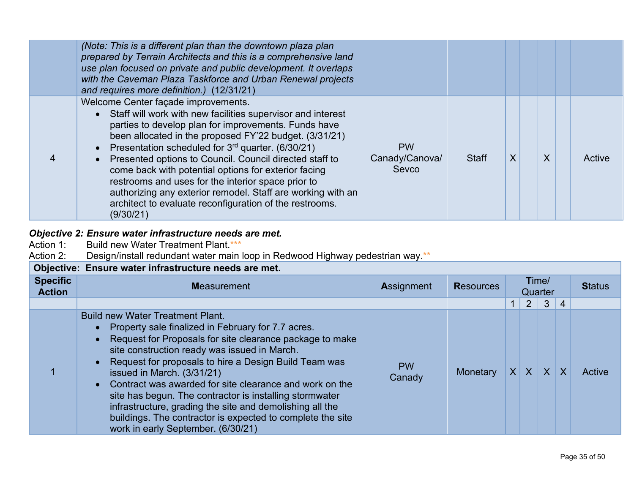| (Note: This is a different plan than the downtown plaza plan<br>prepared by Terrain Architects and this is a comprehensive land<br>use plan focused on private and public development. It overlaps<br>with the Caveman Plaza Taskforce and Urban Renewal projects<br>and requires more definition.) (12/31/21)                                                                                                                                                                                                                                                                                    |                                      |              |   |         |        |
|---------------------------------------------------------------------------------------------------------------------------------------------------------------------------------------------------------------------------------------------------------------------------------------------------------------------------------------------------------------------------------------------------------------------------------------------------------------------------------------------------------------------------------------------------------------------------------------------------|--------------------------------------|--------------|---|---------|--------|
| Welcome Center façade improvements.<br>• Staff will work with new facilities supervisor and interest<br>parties to develop plan for improvements. Funds have<br>been allocated in the proposed FY'22 budget. (3/31/21)<br>• Presentation scheduled for $3rd$ quarter. (6/30/21)<br>• Presented options to Council. Council directed staff to<br>come back with potential options for exterior facing<br>restrooms and uses for the interior space prior to<br>authorizing any exterior remodel. Staff are working with an<br>architect to evaluate reconfiguration of the restrooms.<br>(9/30/21) | <b>PW</b><br>Canady/Canova/<br>Sevco | <b>Staff</b> | X | $\sf X$ | Active |

### *Objective 2: Ensure water infrastructure needs are met.*

- Action 1: Build new Water Treatment Plant.\*\*\*
- Action 2: Design/install redundant water main loop in Redwood Highway pedestrian way.\*\*

|                                  | Objective: Ensure water infrastructure needs are met.                                                                                                                                                                                                                                                                                                                                                                                                                                                                                                                                      |                     |                  |          |                  |              |                |        |
|----------------------------------|--------------------------------------------------------------------------------------------------------------------------------------------------------------------------------------------------------------------------------------------------------------------------------------------------------------------------------------------------------------------------------------------------------------------------------------------------------------------------------------------------------------------------------------------------------------------------------------------|---------------------|------------------|----------|------------------|--------------|----------------|--------|
| <b>Specific</b><br><b>Action</b> | <b>Measurement</b>                                                                                                                                                                                                                                                                                                                                                                                                                                                                                                                                                                         | <b>Assignment</b>   | <b>Resources</b> |          | Time/<br>Quarter |              | <b>Status</b>  |        |
|                                  |                                                                                                                                                                                                                                                                                                                                                                                                                                                                                                                                                                                            |                     |                  |          | $\overline{2}$   | $\mathbf{3}$ | $\overline{4}$ |        |
|                                  | <b>Build new Water Treatment Plant.</b><br>• Property sale finalized in February for 7.7 acres.<br>Request for Proposals for site clearance package to make<br>site construction ready was issued in March.<br>• Request for proposals to hire a Design Build Team was<br>issued in March. (3/31/21)<br>Contract was awarded for site clearance and work on the<br>site has begun. The contractor is installing stormwater<br>infrastructure, grading the site and demolishing all the<br>buildings. The contractor is expected to complete the site<br>work in early September. (6/30/21) | <b>PW</b><br>Canady | <b>Monetary</b>  | $\times$ | X                |              | XX             | Active |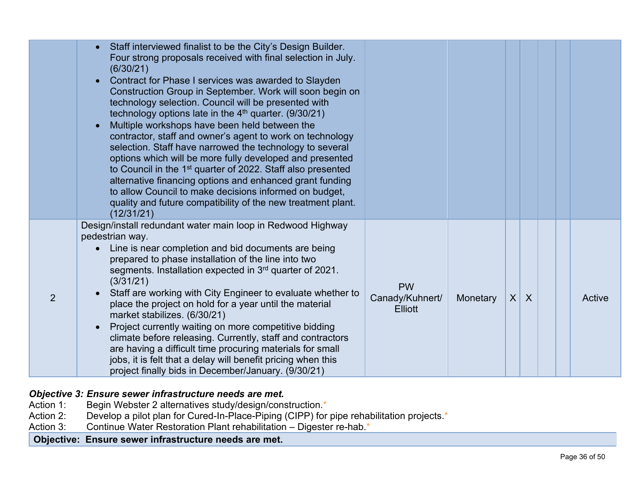|   | Staff interviewed finalist to be the City's Design Builder.<br>$\bullet$<br>Four strong proposals received with final selection in July.<br>(6/30/21)<br>Contract for Phase I services was awarded to Slayden<br>$\bullet$<br>Construction Group in September. Work will soon begin on<br>technology selection. Council will be presented with<br>technology options late in the $4th$ quarter. (9/30/21)<br>Multiple workshops have been held between the<br>contractor, staff and owner's agent to work on technology<br>selection. Staff have narrowed the technology to several<br>options which will be more fully developed and presented<br>to Council in the 1 <sup>st</sup> quarter of 2022. Staff also presented<br>alternative financing options and enhanced grant funding<br>to allow Council to make decisions informed on budget,<br>quality and future compatibility of the new treatment plant.<br>(12/31/21) |                                                |          |          |              |  |        |
|---|--------------------------------------------------------------------------------------------------------------------------------------------------------------------------------------------------------------------------------------------------------------------------------------------------------------------------------------------------------------------------------------------------------------------------------------------------------------------------------------------------------------------------------------------------------------------------------------------------------------------------------------------------------------------------------------------------------------------------------------------------------------------------------------------------------------------------------------------------------------------------------------------------------------------------------|------------------------------------------------|----------|----------|--------------|--|--------|
| 2 | Design/install redundant water main loop in Redwood Highway<br>pedestrian way.<br>Line is near completion and bid documents are being<br>prepared to phase installation of the line into two<br>segments. Installation expected in $3rd$ quarter of 2021.<br>(3/31/21)<br>Staff are working with City Engineer to evaluate whether to<br>place the project on hold for a year until the material<br>market stabilizes. (6/30/21)<br>Project currently waiting on more competitive bidding<br>$\bullet$<br>climate before releasing. Currently, staff and contractors<br>are having a difficult time procuring materials for small<br>jobs, it is felt that a delay will benefit pricing when this<br>project finally bids in December/January. (9/30/21)                                                                                                                                                                       | <b>PW</b><br>Canady/Kuhnert/<br><b>Elliott</b> | Monetary | $X \mid$ | $\mathsf{X}$ |  | Active |

## *Objective 3: Ensure sewer infrastructure needs are met.*<br>Action 1: Begin Webster 2 alternatives study/design/cons

- Action 1: Begin Webster 2 alternatives study/design/construction.<sup>\*</sup><br>Action 2: Develop a pilot plan for Cured-In-Place-Piping (CIPP) for
- Action 2: Develop a pilot plan for Cured-In-Place-Piping (CIPP) for pipe rehabilitation projects.\*<br>Action 3: Continue Water Restoration Plant rehabilitation Digester re-hab.\*
- Continue Water Restoration Plant rehabilitation Digester re-hab.\*

**Objective: Ensure sewer infrastructure needs are met.**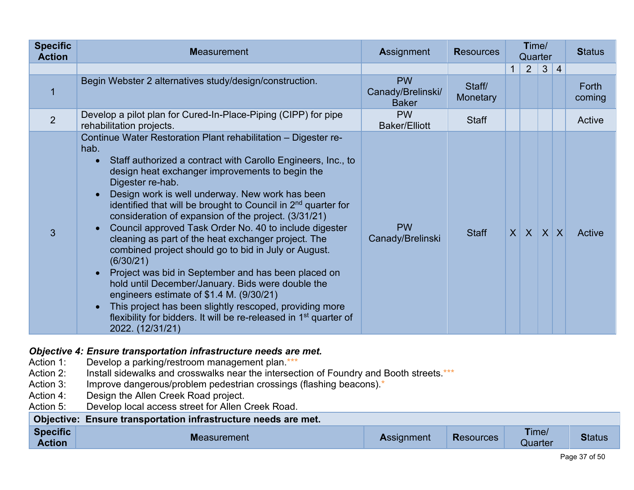| <b>Specific</b><br><b>Action</b> | <b>Measurement</b>                                                                                                                                                                                                                                                                                                                                                                                                                                                                                                                                                                                                                                                                                                                                                                                                                                                                                                                                                      | <b>Assignment</b>                              | <b>Resources</b>   | Time/<br>Quarter |              |              |                 | <b>Status</b>   |
|----------------------------------|-------------------------------------------------------------------------------------------------------------------------------------------------------------------------------------------------------------------------------------------------------------------------------------------------------------------------------------------------------------------------------------------------------------------------------------------------------------------------------------------------------------------------------------------------------------------------------------------------------------------------------------------------------------------------------------------------------------------------------------------------------------------------------------------------------------------------------------------------------------------------------------------------------------------------------------------------------------------------|------------------------------------------------|--------------------|------------------|--------------|--------------|-----------------|-----------------|
|                                  |                                                                                                                                                                                                                                                                                                                                                                                                                                                                                                                                                                                                                                                                                                                                                                                                                                                                                                                                                                         |                                                |                    | $\mathbf 1$      | 2            | $\mathbf{3}$ | $\vert 4 \vert$ |                 |
|                                  | Begin Webster 2 alternatives study/design/construction.                                                                                                                                                                                                                                                                                                                                                                                                                                                                                                                                                                                                                                                                                                                                                                                                                                                                                                                 | <b>PW</b><br>Canady/Brelinski/<br><b>Baker</b> | Staff/<br>Monetary |                  |              |              |                 | Forth<br>coming |
| 2                                | Develop a pilot plan for Cured-In-Place-Piping (CIPP) for pipe<br>rehabilitation projects.                                                                                                                                                                                                                                                                                                                                                                                                                                                                                                                                                                                                                                                                                                                                                                                                                                                                              | <b>PW</b><br><b>Baker/Elliott</b>              | <b>Staff</b>       |                  |              |              |                 | Active          |
| 3                                | Continue Water Restoration Plant rehabilitation - Digester re-<br>hab.<br>Staff authorized a contract with Carollo Engineers, Inc., to<br>$\bullet$<br>design heat exchanger improvements to begin the<br>Digester re-hab.<br>Design work is well underway. New work has been<br>$\bullet$<br>identified that will be brought to Council in 2 <sup>nd</sup> quarter for<br>consideration of expansion of the project. (3/31/21)<br>Council approved Task Order No. 40 to include digester<br>$\bullet$<br>cleaning as part of the heat exchanger project. The<br>combined project should go to bid in July or August.<br>(6/30/21)<br>Project was bid in September and has been placed on<br>hold until December/January. Bids were double the<br>engineers estimate of \$1.4 M. (9/30/21)<br>This project has been slightly rescoped, providing more<br>$\bullet$<br>flexibility for bidders. It will be re-released in 1 <sup>st</sup> quarter of<br>2022. (12/31/21) | <b>PW</b><br>Canady/Brelinski                  | <b>Staff</b>       | $\vert X \vert$  | $\mathsf{X}$ |              | $X$ $X$         | Active          |

## **Objective 4: Ensure transportation infrastructure needs are met.**<br>Action 1: Develop a parking/restroom management plan.\*\*\*

- Action 1: Develop a parking/restroom management plan.\*\*\*<br>Action 2: Install sidewalks and crosswalks near the intersec
- Action 2: Install sidewalks and crosswalks near the intersection of Foundry and Booth streets.\*\*\*<br>Action 3: Improve dangerous/problem pedestrian crossings (flashing beacons).\*
- Action 3: Improve dangerous/problem pedestrian crossings (flashing beacons).<sup>\*</sup><br>Action 4: Design the Allen Creek Road project.
- Action 4: Design the Allen Creek Road project.<br>Action 5: Develop local access street for Allen (
- Develop local access street for Allen Creek Road.

|                                  | Objective: Ensure transportation infrastructure needs are met. |                   |                  |                  |               |
|----------------------------------|----------------------------------------------------------------|-------------------|------------------|------------------|---------------|
| <b>Specific</b><br><b>Action</b> | <b>Measurement</b>                                             | <b>Assignment</b> | <b>Resources</b> | Time/<br>Quarter | <b>Status</b> |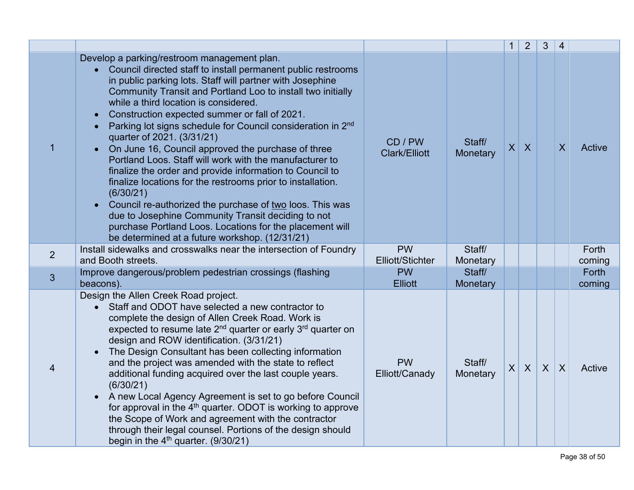|                |                                                                                                                                                                                                                                                                                                                                                                                                                                                                                                                                                                                                                                                                                                                                                                                                                                                                                                                                                    |                                 |                    | $\mathbf{1}$    | $\overline{2}$   | $\mathfrak{Z}$   | $\overline{4}$ |                 |
|----------------|----------------------------------------------------------------------------------------------------------------------------------------------------------------------------------------------------------------------------------------------------------------------------------------------------------------------------------------------------------------------------------------------------------------------------------------------------------------------------------------------------------------------------------------------------------------------------------------------------------------------------------------------------------------------------------------------------------------------------------------------------------------------------------------------------------------------------------------------------------------------------------------------------------------------------------------------------|---------------------------------|--------------------|-----------------|------------------|------------------|----------------|-----------------|
|                | Develop a parking/restroom management plan.<br>• Council directed staff to install permanent public restrooms<br>in public parking lots. Staff will partner with Josephine<br>Community Transit and Portland Loo to install two initially<br>while a third location is considered.<br>Construction expected summer or fall of 2021.<br>Parking lot signs schedule for Council consideration in 2 <sup>nd</sup><br>quarter of 2021. (3/31/21)<br>On June 16, Council approved the purchase of three<br>Portland Loos. Staff will work with the manufacturer to<br>finalize the order and provide information to Council to<br>finalize locations for the restrooms prior to installation.<br>(6/30/21)<br>Council re-authorized the purchase of two loos. This was<br>$\bullet$<br>due to Josephine Community Transit deciding to not<br>purchase Portland Loos. Locations for the placement will<br>be determined at a future workshop. (12/31/21) | CD / PW<br><b>Clark/Elliott</b> | Staff/<br>Monetary | $\vert X \vert$ | $\boldsymbol{X}$ |                  | X              | Active          |
| $\overline{2}$ | Install sidewalks and crosswalks near the intersection of Foundry<br>and Booth streets.                                                                                                                                                                                                                                                                                                                                                                                                                                                                                                                                                                                                                                                                                                                                                                                                                                                            | <b>PW</b><br>Elliott/Stichter   | Staff/<br>Monetary |                 |                  |                  |                | Forth<br>coming |
| 3              | Improve dangerous/problem pedestrian crossings (flashing<br>beacons).                                                                                                                                                                                                                                                                                                                                                                                                                                                                                                                                                                                                                                                                                                                                                                                                                                                                              | <b>PW</b><br><b>Elliott</b>     | Staff/<br>Monetary |                 |                  |                  |                | Forth<br>coming |
| 4              | Design the Allen Creek Road project.<br>Staff and ODOT have selected a new contractor to<br>complete the design of Allen Creek Road. Work is<br>expected to resume late 2 <sup>nd</sup> quarter or early 3 <sup>rd</sup> quarter on<br>design and ROW identification. (3/31/21)<br>The Design Consultant has been collecting information<br>and the project was amended with the state to reflect<br>additional funding acquired over the last couple years.<br>(6/30/21)<br>A new Local Agency Agreement is set to go before Council<br>$\bullet$<br>for approval in the 4 <sup>th</sup> quarter. ODOT is working to approve<br>the Scope of Work and agreement with the contractor<br>through their legal counsel. Portions of the design should<br>begin in the $4th$ quarter. (9/30/21)                                                                                                                                                        | <b>PW</b><br>Elliott/Canady     | Staff/<br>Monetary | X               | $\mathsf{X}$     | $\boldsymbol{X}$ | $\sf X$        | Active          |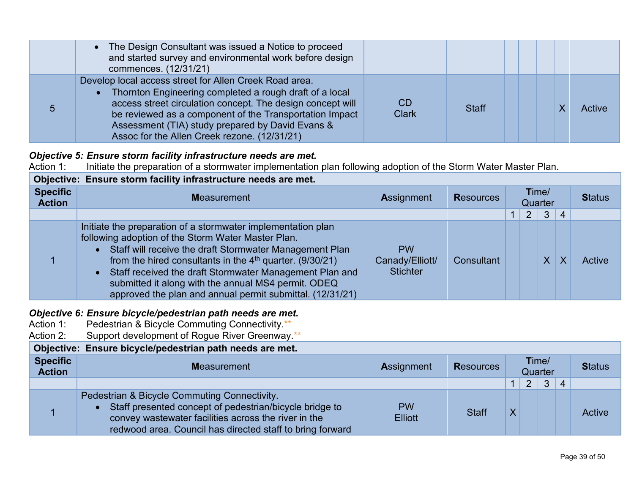| • The Design Consultant was issued a Notice to proceed<br>and started survey and environmental work before design<br>commences. (12/31/21)                                                                                                                                                                                                     |                    |              |  |        |
|------------------------------------------------------------------------------------------------------------------------------------------------------------------------------------------------------------------------------------------------------------------------------------------------------------------------------------------------|--------------------|--------------|--|--------|
| Develop local access street for Allen Creek Road area.<br>Thornton Engineering completed a rough draft of a local<br>access street circulation concept. The design concept will<br>be reviewed as a component of the Transportation Impact<br>Assessment (TIA) study prepared by David Evans &<br>Assoc for the Allen Creek rezone. (12/31/21) | CD<br><b>Clark</b> | <b>Staff</b> |  | Active |

## *Objective 5: Ensure storm facility infrastructure needs are met.***<br>Action 1: Initiate the preparation of a stormwater implementation**

Action 1: Initiate the preparation of a stormwater implementation plan following adoption of the Storm Water Master Plan.

|                                  | Objective: Ensure storm facility infrastructure needs are met.                                                                                                                                                                                                                                                                                                                                                               |                                                 |                  |                  |                |              |                |        |  |  |  |  |  |  |  |  |  |               |
|----------------------------------|------------------------------------------------------------------------------------------------------------------------------------------------------------------------------------------------------------------------------------------------------------------------------------------------------------------------------------------------------------------------------------------------------------------------------|-------------------------------------------------|------------------|------------------|----------------|--------------|----------------|--------|--|--|--|--|--|--|--|--|--|---------------|
| <b>Specific</b><br><b>Action</b> | <b>Measurement</b>                                                                                                                                                                                                                                                                                                                                                                                                           | <b>Assignment</b>                               | <b>Resources</b> | Time/<br>Quarter |                |              |                |        |  |  |  |  |  |  |  |  |  | <b>Status</b> |
|                                  |                                                                                                                                                                                                                                                                                                                                                                                                                              |                                                 |                  |                  | 2 <sup>1</sup> | $\mathbf{3}$ | $\overline{4}$ |        |  |  |  |  |  |  |  |  |  |               |
|                                  | Initiate the preparation of a stormwater implementation plan<br>following adoption of the Storm Water Master Plan.<br>• Staff will receive the draft Stormwater Management Plan<br>from the hired consultants in the $4th$ quarter. (9/30/21)<br>Staff received the draft Stormwater Management Plan and<br>submitted it along with the annual MS4 permit. ODEQ<br>approved the plan and annual permit submittal. (12/31/21) | <b>PW</b><br>Canady/Elliott/<br><b>Stichter</b> | Consultant       |                  |                | $\sf X$      | Χ              | Active |  |  |  |  |  |  |  |  |  |               |

## **Objective 6: Ensure bicycle/pedestrian path needs are met.**<br>Action 1: Pedestrian & Bicycle Commuting Connectivity.\*\*

- Action 1: Pedestrian & Bicycle Commuting Connectivity.\*\*<br>Action 2: Support development of Roque River Greenway
- Support development of Rogue River Greenway.\*\*

|                                  | Objective: Ensure bicycle/pedestrian path needs are met.                                                                                                                                                                     |                             |                  |                  |                |              |                        |        |
|----------------------------------|------------------------------------------------------------------------------------------------------------------------------------------------------------------------------------------------------------------------------|-----------------------------|------------------|------------------|----------------|--------------|------------------------|--------|
| <b>Specific</b><br><b>Action</b> | <b>Measurement</b>                                                                                                                                                                                                           | <b>Assignment</b>           | <b>Resources</b> | Time/<br>Quarter |                |              |                        |        |
|                                  |                                                                                                                                                                                                                              |                             |                  | $\mathbf 1$      | $\overline{2}$ | $\mathbf{3}$ | $\boldsymbol{\Lambda}$ |        |
|                                  | Pedestrian & Bicycle Commuting Connectivity.<br>Staff presented concept of pedestrian/bicycle bridge to<br>convey wastewater facilities across the river in the<br>redwood area. Council has directed staff to bring forward | <b>PW</b><br><b>Elliott</b> | <b>Staff</b>     | $\mathsf{X}$     |                |              |                        | Active |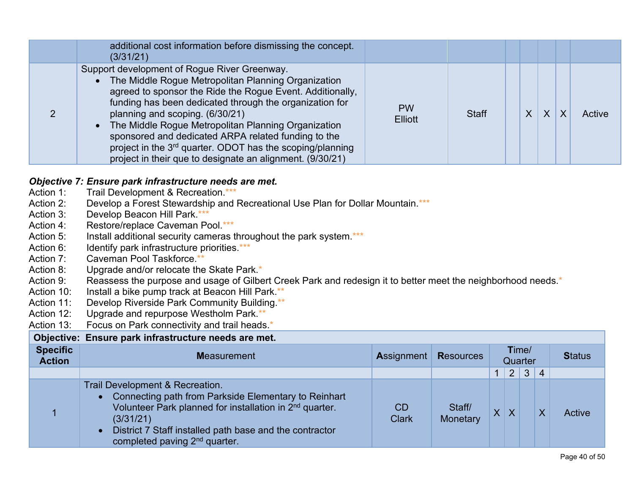| additional cost information before dismissing the concept.<br>(3/31/21)                                                                                                                                                                                                                                                                                                                                                                                                                                            |                             |       |   |         |   |        |
|--------------------------------------------------------------------------------------------------------------------------------------------------------------------------------------------------------------------------------------------------------------------------------------------------------------------------------------------------------------------------------------------------------------------------------------------------------------------------------------------------------------------|-----------------------------|-------|---|---------|---|--------|
| Support development of Rogue River Greenway.<br>The Middle Rogue Metropolitan Planning Organization<br>agreed to sponsor the Ride the Rogue Event. Additionally,<br>funding has been dedicated through the organization for<br>planning and scoping. (6/30/21)<br>The Middle Rogue Metropolitan Planning Organization<br>sponsored and dedicated ARPA related funding to the<br>project in the 3 <sup>rd</sup> quarter. ODOT has the scoping/planning<br>project in their que to designate an alignment. (9/30/21) | <b>PW</b><br><b>Elliott</b> | Staff | X | $\sf X$ | Χ | Active |

### *Objective 7: Ensure park infrastructure needs are met.*

- Action 1: Trail Development & Recreation.\*\*\*
- Action 2: Develop a Forest Stewardship and Recreational Use Plan for Dollar Mountain.\*\*\*
- Action 3: Develop Beacon Hill Park.\*\*\*
- Action 4: Restore/replace Caveman Pool.\*\*\*
- Action 5: Install additional security cameras throughout the park system.\*\*\*
- Action 6: Identify park infrastructure priorities.\*\*\*
- Action 7: Caveman Pool Taskforce.\*\*
- Action 8: Upgrade and/or relocate the Skate Park.<sup>\*</sup>
- Action 9: Reassess the purpose and usage of Gilbert Creek Park and redesign it to better meet the neighborhood needs.\*
- Action 10: Install a bike pump track at Beacon Hill Park.\*\*
- Action 11: Develop Riverside Park Community Building.\*\*
- Action 12: Upgrade and repurpose Westholm Park.\*\*
- Action 13: Focus on Park connectivity and trail heads.<sup>\*</sup>

| Objective: Ensure park infrastructure needs are met. |                                                                                                                                                                                                                                                                                                               |                           |                    |                         |                |              |                 |        |  |  |  |  |  |               |
|------------------------------------------------------|---------------------------------------------------------------------------------------------------------------------------------------------------------------------------------------------------------------------------------------------------------------------------------------------------------------|---------------------------|--------------------|-------------------------|----------------|--------------|-----------------|--------|--|--|--|--|--|---------------|
| <b>Specific</b><br><b>Action</b>                     | <b>Measurement</b>                                                                                                                                                                                                                                                                                            | Assignment                | <b>Resources</b>   | Time/<br>Quarter        |                |              |                 |        |  |  |  |  |  | <b>Status</b> |
|                                                      |                                                                                                                                                                                                                                                                                                               |                           |                    |                         | 2 <sup>1</sup> | $\mathbf{3}$ | $\vert 4 \vert$ |        |  |  |  |  |  |               |
|                                                      | <b>Trail Development &amp; Recreation.</b><br>• Connecting path from Parkside Elementary to Reinhart<br>Volunteer Park planned for installation in 2 <sup>nd</sup> quarter.<br>(3/31/21)<br>District 7 Staff installed path base and the contractor<br>$\bullet$<br>completed paving 2 <sup>nd</sup> quarter. | <b>CD</b><br><b>Clark</b> | Staff/<br>Monetary | $\overline{\mathsf{X}}$ | $\times$       |              | X               | Active |  |  |  |  |  |               |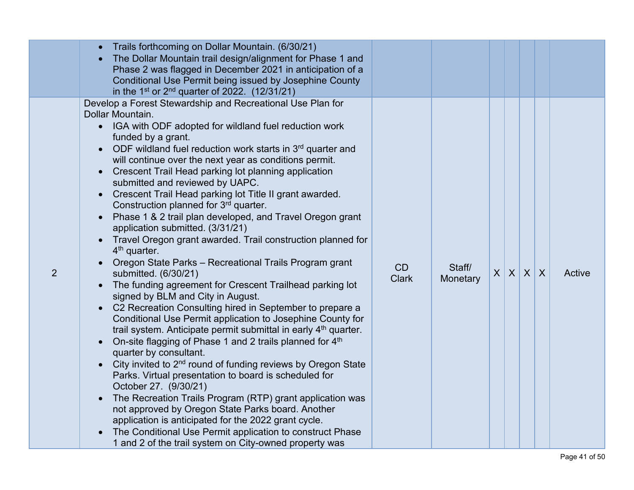|   | Trails forthcoming on Dollar Mountain. (6/30/21)<br>The Dollar Mountain trail design/alignment for Phase 1 and<br>Phase 2 was flagged in December 2021 in anticipation of a<br>Conditional Use Permit being issued by Josephine County<br>in the 1 <sup>st</sup> or $2^{nd}$ quarter of 2022. (12/31/21)                                                                                                                                                                                                                                                                                                                                                                                                                                                                                                                                                                                                                                                                                                                                                                                                                                                                                                                                                                                                                                                                                                                                                                                                                                                                                                                                                                                                                         |                    |                    |                 |  |        |
|---|----------------------------------------------------------------------------------------------------------------------------------------------------------------------------------------------------------------------------------------------------------------------------------------------------------------------------------------------------------------------------------------------------------------------------------------------------------------------------------------------------------------------------------------------------------------------------------------------------------------------------------------------------------------------------------------------------------------------------------------------------------------------------------------------------------------------------------------------------------------------------------------------------------------------------------------------------------------------------------------------------------------------------------------------------------------------------------------------------------------------------------------------------------------------------------------------------------------------------------------------------------------------------------------------------------------------------------------------------------------------------------------------------------------------------------------------------------------------------------------------------------------------------------------------------------------------------------------------------------------------------------------------------------------------------------------------------------------------------------|--------------------|--------------------|-----------------|--|--------|
| 2 | Develop a Forest Stewardship and Recreational Use Plan for<br>Dollar Mountain.<br>• IGA with ODF adopted for wildland fuel reduction work<br>funded by a grant.<br>ODF wildland fuel reduction work starts in 3rd quarter and<br>$\bullet$<br>will continue over the next year as conditions permit.<br>Crescent Trail Head parking lot planning application<br>$\bullet$<br>submitted and reviewed by UAPC.<br>Crescent Trail Head parking lot Title II grant awarded.<br>$\bullet$<br>Construction planned for 3rd quarter.<br>Phase 1 & 2 trail plan developed, and Travel Oregon grant<br>$\bullet$<br>application submitted. (3/31/21)<br>Travel Oregon grant awarded. Trail construction planned for<br>$\bullet$<br>$4th$ quarter.<br>Oregon State Parks - Recreational Trails Program grant<br>submitted. (6/30/21)<br>The funding agreement for Crescent Trailhead parking lot<br>signed by BLM and City in August.<br>C2 Recreation Consulting hired in September to prepare a<br>Conditional Use Permit application to Josephine County for<br>trail system. Anticipate permit submittal in early 4 <sup>th</sup> quarter.<br>On-site flagging of Phase 1 and 2 trails planned for 4 <sup>th</sup><br>quarter by consultant.<br>City invited to 2 <sup>nd</sup> round of funding reviews by Oregon State<br>$\bullet$<br>Parks. Virtual presentation to board is scheduled for<br>October 27. (9/30/21)<br>The Recreation Trails Program (RTP) grant application was<br>$\bullet$<br>not approved by Oregon State Parks board. Another<br>application is anticipated for the 2022 grant cycle.<br>The Conditional Use Permit application to construct Phase<br>1 and 2 of the trail system on City-owned property was | CD<br><b>Clark</b> | Staff/<br>Monetary | $X$ $X$ $X$ $X$ |  | Active |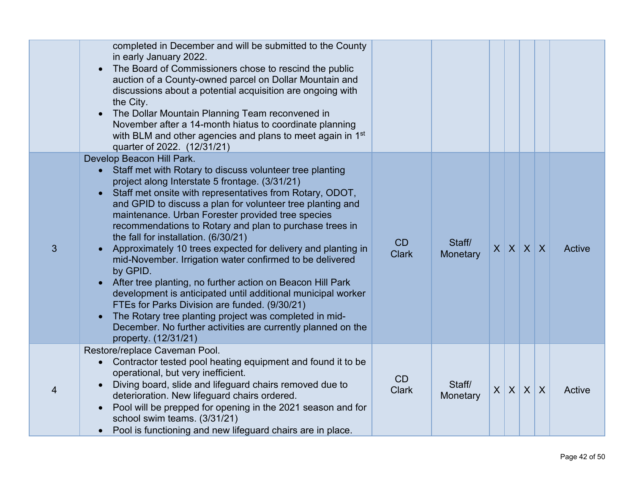|   | completed in December and will be submitted to the County<br>in early January 2022.<br>The Board of Commissioners chose to rescind the public<br>auction of a County-owned parcel on Dollar Mountain and<br>discussions about a potential acquisition are ongoing with<br>the City.<br>The Dollar Mountain Planning Team reconvened in<br>$\bullet$<br>November after a 14-month hiatus to coordinate planning<br>with BLM and other agencies and plans to meet again in 1st<br>quarter of 2022. (12/31/21)                                                                                                                                                                                                                                                                                                                                                                                                                    |                    |                    |              |             |   |                           |        |
|---|--------------------------------------------------------------------------------------------------------------------------------------------------------------------------------------------------------------------------------------------------------------------------------------------------------------------------------------------------------------------------------------------------------------------------------------------------------------------------------------------------------------------------------------------------------------------------------------------------------------------------------------------------------------------------------------------------------------------------------------------------------------------------------------------------------------------------------------------------------------------------------------------------------------------------------|--------------------|--------------------|--------------|-------------|---|---------------------------|--------|
| 3 | Develop Beacon Hill Park.<br>• Staff met with Rotary to discuss volunteer tree planting<br>project along Interstate 5 frontage. (3/31/21)<br>Staff met onsite with representatives from Rotary, ODOT,<br>$\bullet$<br>and GPID to discuss a plan for volunteer tree planting and<br>maintenance. Urban Forester provided tree species<br>recommendations to Rotary and plan to purchase trees in<br>the fall for installation. (6/30/21)<br>Approximately 10 trees expected for delivery and planting in<br>$\bullet$<br>mid-November. Irrigation water confirmed to be delivered<br>by GPID.<br>After tree planting, no further action on Beacon Hill Park<br>development is anticipated until additional municipal worker<br>FTEs for Parks Division are funded. (9/30/21)<br>The Rotary tree planting project was completed in mid-<br>December. No further activities are currently planned on the<br>property. (12/31/21) | CD<br><b>Clark</b> | Staff/<br>Monetary | $\mathsf{X}$ | $X$ $X$ $X$ |   |                           | Active |
| 4 | Restore/replace Caveman Pool.<br>• Contractor tested pool heating equipment and found it to be<br>operational, but very inefficient.<br>Diving board, slide and lifeguard chairs removed due to<br>deterioration. New lifeguard chairs ordered.<br>Pool will be prepped for opening in the 2021 season and for<br>school swim teams. (3/31/21)<br>Pool is functioning and new lifeguard chairs are in place.                                                                                                                                                                                                                                                                                                                                                                                                                                                                                                                   | CD<br><b>Clark</b> | Staff/<br>Monetary | $\sf X$      | $\sf X$     | X | $\boldsymbol{\mathsf{X}}$ | Active |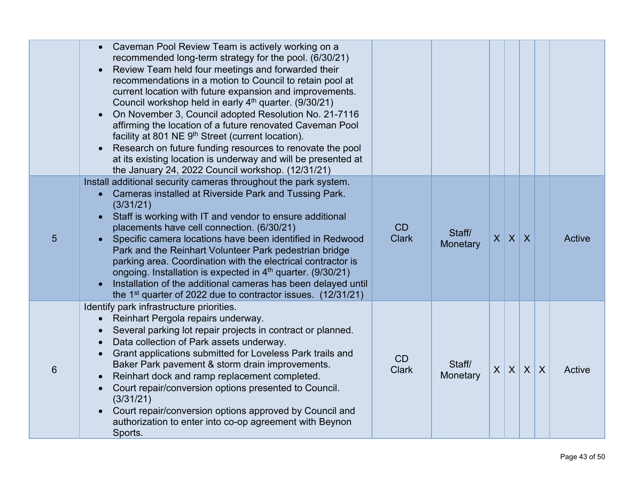|   | • Caveman Pool Review Team is actively working on a<br>recommended long-term strategy for the pool. (6/30/21)<br>Review Team held four meetings and forwarded their<br>recommendations in a motion to Council to retain pool at<br>current location with future expansion and improvements.<br>Council workshop held in early 4 <sup>th</sup> quarter. (9/30/21)<br>On November 3, Council adopted Resolution No. 21-7116<br>affirming the location of a future renovated Caveman Pool<br>facility at 801 NE 9th Street (current location).<br>Research on future funding resources to renovate the pool<br>at its existing location is underway and will be presented at<br>the January 24, 2022 Council workshop. (12/31/21) |                           |                    |   |             |         |         |               |
|---|--------------------------------------------------------------------------------------------------------------------------------------------------------------------------------------------------------------------------------------------------------------------------------------------------------------------------------------------------------------------------------------------------------------------------------------------------------------------------------------------------------------------------------------------------------------------------------------------------------------------------------------------------------------------------------------------------------------------------------|---------------------------|--------------------|---|-------------|---------|---------|---------------|
| 5 | Install additional security cameras throughout the park system.<br>Cameras installed at Riverside Park and Tussing Park.<br>(3/31/21)<br>Staff is working with IT and vendor to ensure additional<br>placements have cell connection. (6/30/21)<br>Specific camera locations have been identified in Redwood<br>$\bullet$<br>Park and the Reinhart Volunteer Park pedestrian bridge<br>parking area. Coordination with the electrical contractor is<br>ongoing. Installation is expected in 4 <sup>th</sup> quarter. (9/30/21)<br>Installation of the additional cameras has been delayed until<br>the 1 <sup>st</sup> quarter of 2022 due to contractor issues. $(12/31/21)$                                                  | CD<br><b>Clark</b>        | Staff/<br>Monetary |   | $X$ $X$ $X$ |         |         | <b>Active</b> |
| 6 | Identify park infrastructure priorities.<br>Reinhart Pergola repairs underway.<br>Several parking lot repair projects in contract or planned.<br>Data collection of Park assets underway.<br>Grant applications submitted for Loveless Park trails and<br>Baker Park pavement & storm drain improvements.<br>Reinhart dock and ramp replacement completed.<br>Court repair/conversion options presented to Council.<br>(3/31/21)<br>Court repair/conversion options approved by Council and<br>authorization to enter into co-op agreement with Beynon<br>Sports.                                                                                                                                                              | <b>CD</b><br><b>Clark</b> | Staff/<br>Monetary | X | $\sf X$     | $\sf X$ | $\sf X$ | Active        |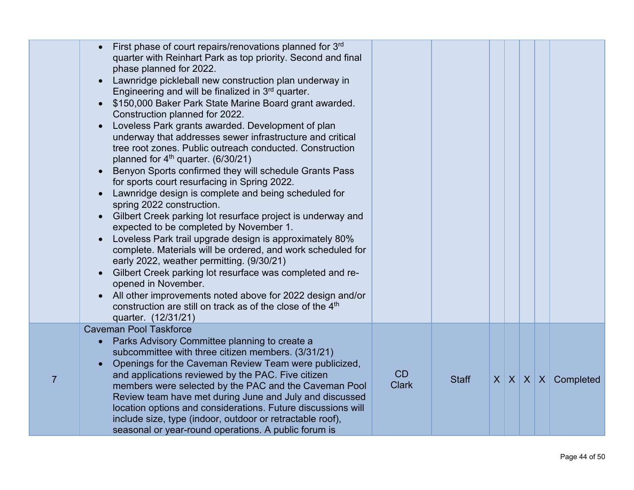|                | First phase of court repairs/renovations planned for 3rd<br>quarter with Reinhart Park as top priority. Second and final<br>phase planned for 2022.<br>Lawnridge pickleball new construction plan underway in<br>Engineering and will be finalized in 3rd quarter.<br>\$150,000 Baker Park State Marine Board grant awarded.<br>$\bullet$<br>Construction planned for 2022.<br>Loveless Park grants awarded. Development of plan<br>$\bullet$<br>underway that addresses sewer infrastructure and critical<br>tree root zones. Public outreach conducted. Construction<br>planned for 4 <sup>th</sup> quarter. (6/30/21)<br>Benyon Sports confirmed they will schedule Grants Pass<br>for sports court resurfacing in Spring 2022. |                    |              |  |  |                           |
|----------------|------------------------------------------------------------------------------------------------------------------------------------------------------------------------------------------------------------------------------------------------------------------------------------------------------------------------------------------------------------------------------------------------------------------------------------------------------------------------------------------------------------------------------------------------------------------------------------------------------------------------------------------------------------------------------------------------------------------------------------|--------------------|--------------|--|--|---------------------------|
|                | Lawnridge design is complete and being scheduled for<br>$\bullet$<br>spring 2022 construction.<br>Gilbert Creek parking lot resurface project is underway and<br>$\bullet$<br>expected to be completed by November 1.<br>Loveless Park trail upgrade design is approximately 80%<br>$\bullet$<br>complete. Materials will be ordered, and work scheduled for<br>early 2022, weather permitting. (9/30/21)<br>Gilbert Creek parking lot resurface was completed and re-<br>opened in November.<br>All other improvements noted above for 2022 design and/or<br>construction are still on track as of the close of the 4 <sup>th</sup><br>quarter. (12/31/21)                                                                        |                    |              |  |  |                           |
| $\overline{7}$ | <b>Caveman Pool Taskforce</b><br>Parks Advisory Committee planning to create a<br>subcommittee with three citizen members. (3/31/21)<br>Openings for the Caveman Review Team were publicized,<br>and applications reviewed by the PAC. Five citizen<br>members were selected by the PAC and the Caveman Pool<br>Review team have met during June and July and discussed<br>location options and considerations. Future discussions will<br>include size, type (indoor, outdoor or retractable roof),<br>seasonal or year-round operations. A public forum is                                                                                                                                                                       | CD<br><b>Clark</b> | <b>Staff</b> |  |  | $X$ $X$ $X$ $X$ Completed |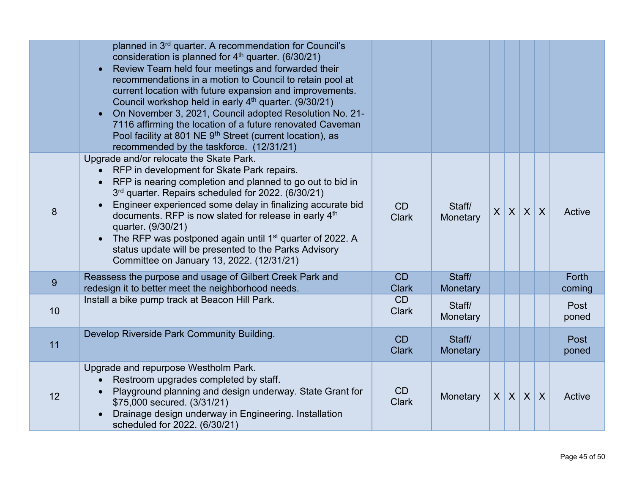|    | planned in 3 <sup>rd</sup> quarter. A recommendation for Council's<br>consideration is planned for 4 <sup>th</sup> quarter. (6/30/21)<br>Review Team held four meetings and forwarded their<br>recommendations in a motion to Council to retain pool at<br>current location with future expansion and improvements.<br>Council workshop held in early 4 <sup>th</sup> quarter. (9/30/21)<br>On November 3, 2021, Council adopted Resolution No. 21-<br>$\bullet$<br>7116 affirming the location of a future renovated Caveman<br>Pool facility at 801 NE 9th Street (current location), as<br>recommended by the taskforce. (12/31/21) |                    |                    |         |         |                  |                  |                 |
|----|----------------------------------------------------------------------------------------------------------------------------------------------------------------------------------------------------------------------------------------------------------------------------------------------------------------------------------------------------------------------------------------------------------------------------------------------------------------------------------------------------------------------------------------------------------------------------------------------------------------------------------------|--------------------|--------------------|---------|---------|------------------|------------------|-----------------|
| 8  | Upgrade and/or relocate the Skate Park.<br>RFP in development for Skate Park repairs.<br>RFP is nearing completion and planned to go out to bid in<br>3rd quarter. Repairs scheduled for 2022. (6/30/21)<br>Engineer experienced some delay in finalizing accurate bid<br>documents. RFP is now slated for release in early 4th<br>quarter. (9/30/21)<br>The RFP was postponed again until 1 <sup>st</sup> quarter of 2022. A<br>status update will be presented to the Parks Advisory<br>Committee on January 13, 2022. (12/31/21)                                                                                                    | CD<br><b>Clark</b> | Staff/<br>Monetary | $\sf X$ | X       | $\boldsymbol{X}$ | $\boldsymbol{X}$ | Active          |
| 9  | Reassess the purpose and usage of Gilbert Creek Park and<br>redesign it to better meet the neighborhood needs.                                                                                                                                                                                                                                                                                                                                                                                                                                                                                                                         | CD<br><b>Clark</b> | Staff/<br>Monetary |         |         |                  |                  | Forth<br>coming |
| 10 | Install a bike pump track at Beacon Hill Park.                                                                                                                                                                                                                                                                                                                                                                                                                                                                                                                                                                                         | CD<br><b>Clark</b> | Staff/<br>Monetary |         |         |                  |                  | Post<br>poned   |
| 11 | Develop Riverside Park Community Building.                                                                                                                                                                                                                                                                                                                                                                                                                                                                                                                                                                                             | CD<br><b>Clark</b> | Staff/<br>Monetary |         |         |                  |                  | Post<br>poned   |
| 12 | Upgrade and repurpose Westholm Park.<br>Restroom upgrades completed by staff.<br>Playground planning and design underway. State Grant for<br>\$75,000 secured. (3/31/21)<br>Drainage design underway in Engineering. Installation<br>scheduled for 2022. (6/30/21)                                                                                                                                                                                                                                                                                                                                                                     | CD<br><b>Clark</b> | Monetary           | X       | $\sf X$ | $\sf X$          | $\boldsymbol{X}$ | Active          |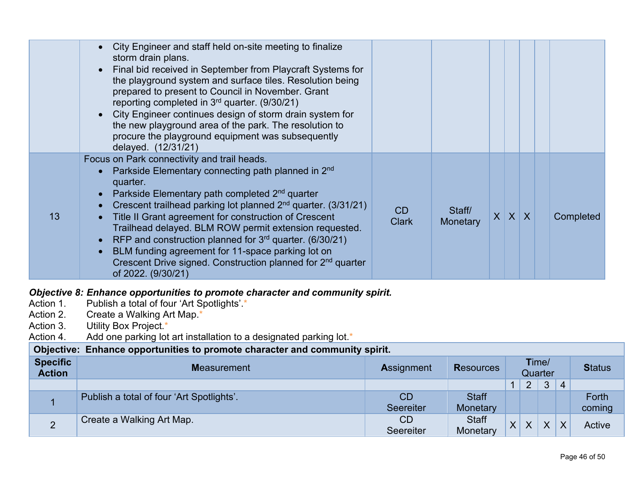|                                                  | City Engineer and staff held on-site meeting to finalize<br>$\bullet$<br>storm drain plans.<br>Final bid received in September from Playcraft Systems for<br>the playground system and surface tiles. Resolution being<br>prepared to present to Council in November. Grant<br>reporting completed in 3 <sup>rd</sup> quarter. (9/30/21)<br>City Engineer continues design of storm drain system for<br>$\bullet$<br>the new playground area of the park. The resolution to<br>procure the playground equipment was subsequently<br>delayed. (12/31/21)<br>Focus on Park connectivity and trail heads. |                        |                          |             |                  |                  |   |                 |
|--------------------------------------------------|--------------------------------------------------------------------------------------------------------------------------------------------------------------------------------------------------------------------------------------------------------------------------------------------------------------------------------------------------------------------------------------------------------------------------------------------------------------------------------------------------------------------------------------------------------------------------------------------------------|------------------------|--------------------------|-------------|------------------|------------------|---|-----------------|
| 13                                               | Parkside Elementary connecting path planned in 2 <sup>nd</sup><br>quarter.<br>Parkside Elementary path completed 2 <sup>nd</sup> quarter<br>$\bullet$<br>Crescent trailhead parking lot planned 2 <sup>nd</sup> quarter. (3/31/21)<br>$\bullet$<br>Title II Grant agreement for construction of Crescent<br>$\bullet$<br>Trailhead delayed. BLM ROW permit extension requested.<br>RFP and construction planned for $3^{rd}$ quarter. (6/30/21)<br>BLM funding agreement for 11-space parking lot on<br>Crescent Drive signed. Construction planned for 2 <sup>nd</sup> quarter<br>of 2022. (9/30/21)  | CD<br><b>Clark</b>     | Staff/<br>Monetary       | $X$ $X$ $X$ |                  |                  |   | Completed       |
| Action 1.<br>Action 2.<br>Action 3.<br>Action 4. | Objective 8: Enhance opportunities to promote character and community spirit.<br>Publish a total of four 'Art Spotlights'.*<br>Create a Walking Art Map.*<br>Utility Box Project.*<br>Add one parking lot art installation to a designated parking lot.*                                                                                                                                                                                                                                                                                                                                               |                        |                          |             |                  |                  |   |                 |
| Objective:                                       | Enhance opportunities to promote character and community spirit.                                                                                                                                                                                                                                                                                                                                                                                                                                                                                                                                       |                        |                          |             |                  |                  |   |                 |
| <b>Specific</b><br><b>Action</b>                 | <b>Measurement</b>                                                                                                                                                                                                                                                                                                                                                                                                                                                                                                                                                                                     | <b>Assignment</b>      | <b>Resources</b>         |             |                  | Time/<br>Quarter |   | <b>Status</b>   |
|                                                  |                                                                                                                                                                                                                                                                                                                                                                                                                                                                                                                                                                                                        |                        |                          | $\mathbf 1$ | $\overline{2}$   | 3                | 4 |                 |
| $\mathbf{1}$                                     | Publish a total of four 'Art Spotlights'.                                                                                                                                                                                                                                                                                                                                                                                                                                                                                                                                                              | CD<br><b>Seereiter</b> | <b>Staff</b><br>Monetary |             |                  |                  |   | Forth<br>coming |
| $\overline{2}$                                   | Create a Walking Art Map.                                                                                                                                                                                                                                                                                                                                                                                                                                                                                                                                                                              | <b>CD</b><br>Seereiter | <b>Staff</b><br>Monetary | X           | $\boldsymbol{X}$ | X                | X | Active          |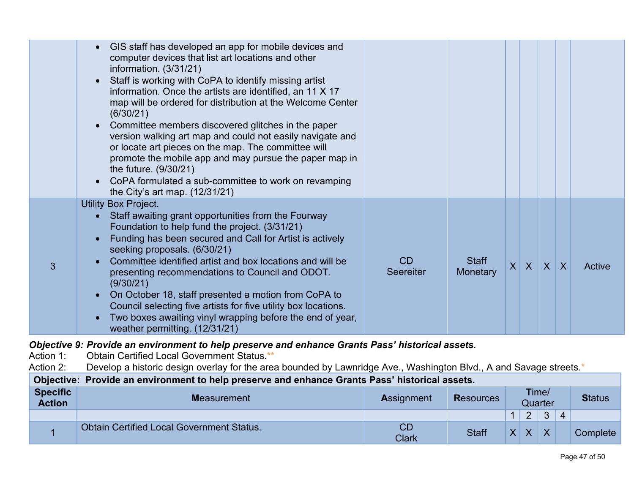|   | GIS staff has developed an app for mobile devices and<br>$\bullet$<br>computer devices that list art locations and other<br>information. (3/31/21)<br>Staff is working with CoPA to identify missing artist<br>information. Once the artists are identified, an 11 X 17<br>map will be ordered for distribution at the Welcome Center<br>(6/30/21)<br>Committee members discovered glitches in the paper<br>$\bullet$<br>version walking art map and could not easily navigate and<br>or locate art pieces on the map. The committee will<br>promote the mobile app and may pursue the paper map in<br>the future. $(9/30/21)$<br>CoPA formulated a sub-committee to work on revamping<br>$\bullet$<br>the City's art map. $(12/31/21)$ |                 |                          |         |         |        |
|---|-----------------------------------------------------------------------------------------------------------------------------------------------------------------------------------------------------------------------------------------------------------------------------------------------------------------------------------------------------------------------------------------------------------------------------------------------------------------------------------------------------------------------------------------------------------------------------------------------------------------------------------------------------------------------------------------------------------------------------------------|-----------------|--------------------------|---------|---------|--------|
| 3 | <b>Utility Box Project.</b><br>Staff awaiting grant opportunities from the Fourway<br>$\bullet$<br>Foundation to help fund the project. (3/31/21)<br>Funding has been secured and Call for Artist is actively<br>$\bullet$<br>seeking proposals. (6/30/21)<br>Committee identified artist and box locations and will be<br>presenting recommendations to Council and ODOT.<br>(9/30/21)<br>On October 18, staff presented a motion from CoPA to<br>$\bullet$<br>Council selecting five artists for five utility box locations.<br>Two boxes awaiting vinyl wrapping before the end of year,<br>$\bullet$<br>weather permitting. (12/31/21)                                                                                              | CD<br>Seereiter | <b>Staff</b><br>Monetary | $X$ $X$ | $X$ $X$ | Active |

## *Objective 9: Provide an environment to help preserve and enhance Grants Pass' historical assets.<br>Action 1: Obtain Certified Local Government Status.\*\**

Action 1: Obtain Certified Local Government Status.\*\*<br>Action 2: Develop a historic design overlay for the are

Develop a historic design overlay for the area bounded by Lawnridge Ave., Washington Blvd., A and Savage streets.\*

#### **Objective: Provide an environment to help preserve and enhance Grants Pass' historical assets. Specific Action <sup>M</sup>**easurement **<sup>A</sup>**ssignment **<sup>R</sup>**esources **T**ime/ Quarter **Status**

|                                                  |                    |              |                                      | $\Omega$<br>-                        | $\sqrt{ }$<br>$\mathbf{v}$ | 4 |                      |
|--------------------------------------------------|--------------------|--------------|--------------------------------------|--------------------------------------|----------------------------|---|----------------------|
| <b>Obtain Certified Local Government Status.</b> | ◡◡<br><b>Clark</b> | <b>Staff</b> | $\overline{\mathbf{v}}$<br>$\Lambda$ | $\overline{\mathbf{v}}$<br>$\Lambda$ | $\overline{\mathbf{v}}$    |   | $\mathcal L$ omplete |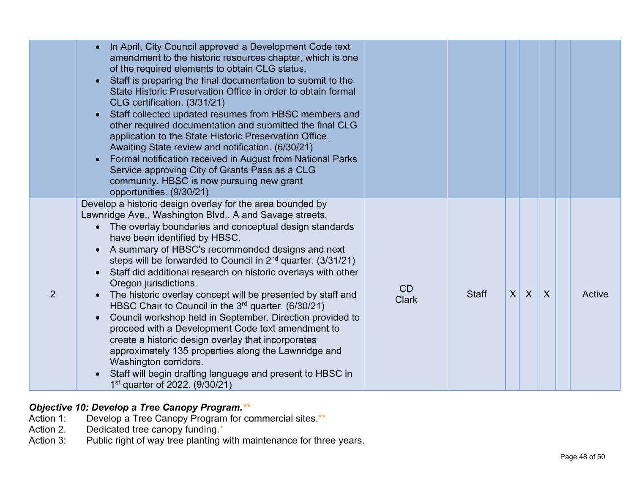|   | In April, City Council approved a Development Code text<br>amendment to the historic resources chapter, which is one<br>of the required elements to obtain CLG status.<br>Staff is preparing the final documentation to submit to the<br>State Historic Preservation Office in order to obtain formal<br>CLG certification. (3/31/21)<br>Staff collected updated resumes from HBSC members and<br>other required documentation and submitted the final CLG<br>application to the State Historic Preservation Office.<br>Awaiting State review and notification. (6/30/21)<br>Formal notification received in August from National Parks<br>Service approving City of Grants Pass as a CLG<br>community. HBSC is now pursuing new grant<br>opportunities. (9/30/21)                                                                                                                                                                       |                    |              |          |              |                |        |
|---|------------------------------------------------------------------------------------------------------------------------------------------------------------------------------------------------------------------------------------------------------------------------------------------------------------------------------------------------------------------------------------------------------------------------------------------------------------------------------------------------------------------------------------------------------------------------------------------------------------------------------------------------------------------------------------------------------------------------------------------------------------------------------------------------------------------------------------------------------------------------------------------------------------------------------------------|--------------------|--------------|----------|--------------|----------------|--------|
| 2 | Develop a historic design overlay for the area bounded by<br>Lawnridge Ave., Washington Blvd., A and Savage streets.<br>The overlay boundaries and conceptual design standards<br>have been identified by HBSC.<br>A summary of HBSC's recommended designs and next<br>steps will be forwarded to Council in $2^{nd}$ quarter. (3/31/21)<br>Staff did additional research on historic overlays with other<br>Oregon jurisdictions.<br>The historic overlay concept will be presented by staff and<br>HBSC Chair to Council in the 3 <sup>rd</sup> quarter. (6/30/21)<br>Council workshop held in September. Direction provided to<br>proceed with a Development Code text amendment to<br>create a historic design overlay that incorporates<br>approximately 135 properties along the Lawnridge and<br>Washington corridors.<br>Staff will begin drafting language and present to HBSC in<br>1 <sup>st</sup> quarter of 2022. (9/30/21) | CD<br><b>Clark</b> | <b>Staff</b> | $\times$ | $\mathsf{X}$ | $\overline{X}$ | Active |

### *Objective 10 : Develop a Tree Canopy Program.\*\**

- Action 1: Develop a Tree Canopy Program for commercial sites.\*\*
- Action 2. Dedicated tree canopy funding. \*
- Action 3 Public right of way tree planting with maintenance for three years.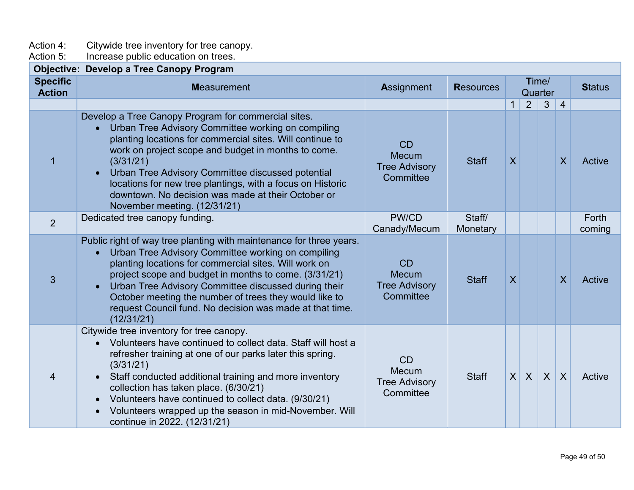Action 4: Citywide tree inventory for tree canopy.

Action 5: Increase public education on trees.

|                                  | <b>Objective: Develop a Tree Canopy Program</b>                                                                                                                                                                                                                                                                                                                                                                                                                                             |                                                                |                    |                         |                |                  |                         |                        |
|----------------------------------|---------------------------------------------------------------------------------------------------------------------------------------------------------------------------------------------------------------------------------------------------------------------------------------------------------------------------------------------------------------------------------------------------------------------------------------------------------------------------------------------|----------------------------------------------------------------|--------------------|-------------------------|----------------|------------------|-------------------------|------------------------|
| <b>Specific</b><br><b>Action</b> | <b>Measurement</b>                                                                                                                                                                                                                                                                                                                                                                                                                                                                          | Assignment                                                     | <b>Resources</b>   |                         |                | Time/<br>Quarter |                         | <b>Status</b>          |
|                                  |                                                                                                                                                                                                                                                                                                                                                                                                                                                                                             |                                                                |                    | $\mathbf{1}$            | $\overline{2}$ | 3                | $\overline{4}$          |                        |
| $\mathbf{1}$                     | Develop a Tree Canopy Program for commercial sites.<br>Urban Tree Advisory Committee working on compiling<br>$\bullet$<br>planting locations for commercial sites. Will continue to<br>work on project scope and budget in months to come.<br>(3/31/21)<br>Urban Tree Advisory Committee discussed potential<br>$\bullet$<br>locations for new tree plantings, with a focus on Historic<br>downtown. No decision was made at their October or<br>November meeting. (12/31/21)               | CD<br><b>Mecum</b><br><b>Tree Advisory</b><br>Committee        | <b>Staff</b>       | $\overline{X}$          |                |                  | $\overline{\mathsf{X}}$ | Active                 |
| $\overline{2}$                   | Dedicated tree canopy funding.                                                                                                                                                                                                                                                                                                                                                                                                                                                              | PW/CD<br>Canady/Mecum                                          | Staff/<br>Monetary |                         |                |                  |                         | <b>Forth</b><br>coming |
| 3                                | Public right of way tree planting with maintenance for three years.<br>Urban Tree Advisory Committee working on compiling<br>$\bullet$<br>planting locations for commercial sites. Will work on<br>project scope and budget in months to come. (3/31/21)<br>Urban Tree Advisory Committee discussed during their<br>$\bullet$<br>October meeting the number of trees they would like to<br>request Council fund. No decision was made at that time.<br>(12/31/21)                           | <b>CD</b><br><b>Mecum</b><br><b>Tree Advisory</b><br>Committee | <b>Staff</b>       | $\overline{\mathsf{X}}$ |                |                  | $\sf X$                 | Active                 |
| 4                                | Citywide tree inventory for tree canopy.<br>Volunteers have continued to collect data. Staff will host a<br>$\bullet$<br>refresher training at one of our parks later this spring.<br>(3/31/21)<br>Staff conducted additional training and more inventory<br>$\bullet$<br>collection has taken place. (6/30/21)<br>Volunteers have continued to collect data. (9/30/21)<br>$\bullet$<br>Volunteers wrapped up the season in mid-November. Will<br>$\bullet$<br>continue in 2022. (12/31/21) | CD<br><b>Mecum</b><br><b>Tree Advisory</b><br>Committee        | <b>Staff</b>       | $\sf X$                 | $\mathsf{X}$   | $\boldsymbol{X}$ | $\sf X$                 | Active                 |